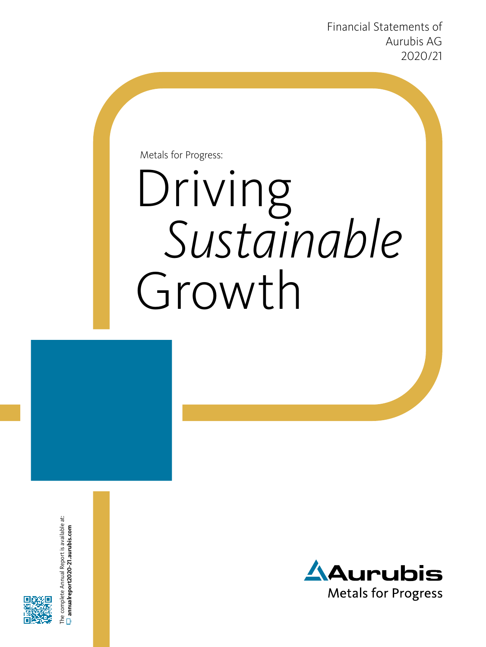Financial Statements of Aurubis AG 2020/21

Metals for Progress:

# Driving *Sustainable* Growth



The complete Annual Report is available at: **[annualreport2020-21.aurubis.com](http://annualreport2020-21.aurubis.com/)**

ne complete Annual Report is available at:  $\overline{=}$  annualreport2020-21.aurubis.com

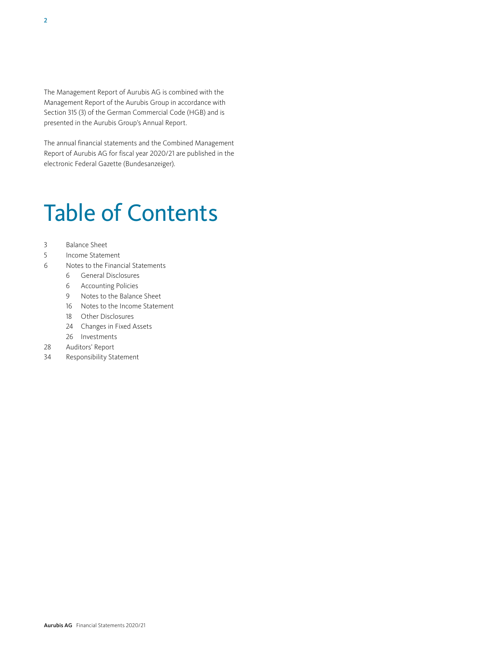The Management Report of Aurubis AG is combined with the Management Report of the Aurubis Group in accordance with Section 315 (3) of the German Commercial Code (HGB) and is presented in the Aurubis Group's Annual Report.

The annual financial statements and the Combined Management Report of Aurubis AG for fiscal year 2020/21 are published in the electronic Federal Gazette (Bundesanzeiger).

# Table of Contents

- 3 [Balance Sheet](#page-2-0)
- 5 [Income Statement](#page-4-0)
- 6 [Notes to the Financial Statements](#page-5-0)
	- 6 [General Disclosures](#page-5-0)
	- 6 [Accounting Policies](#page-5-0)
	- 9 [Notes to the Balance Sheet](#page-8-0)
	- 16 [Notes to the Income Statement](#page-15-0)
	- 18 [Other Disclosures](#page-17-0)
	- 24 [Changes in Fixed Assets](#page-23-0)
	- 26 [Investments](#page-25-0)
- 28 [Auditors' Report](#page-27-0)
- 34 [Responsibility Statement](#page-33-0)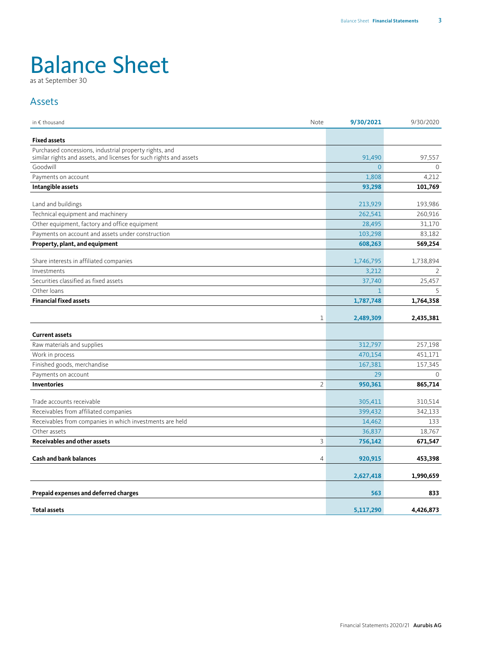# <span id="page-2-0"></span>Balance Sheet

as at September 30

#### Assets

| in € thousand<br>Note                                                                                                        | 9/30/2021      | 9/30/2020    |
|------------------------------------------------------------------------------------------------------------------------------|----------------|--------------|
| <b>Fixed assets</b>                                                                                                          |                |              |
| Purchased concessions, industrial property rights, and<br>similar rights and assets, and licenses for such rights and assets | 91,490         | 97,557       |
| Goodwill                                                                                                                     | $\overline{0}$ | $\mathbf{0}$ |
| Payments on account                                                                                                          | 1,808          | 4,212        |
| Intangible assets                                                                                                            | 93,298         | 101,769      |
| Land and buildings                                                                                                           | 213,929        | 193,986      |
| Technical equipment and machinery                                                                                            | 262,541        | 260,916      |
| Other equipment, factory and office equipment                                                                                | 28,495         | 31,170       |
| Payments on account and assets under construction                                                                            | 103,298        | 83.182       |
| Property, plant, and equipment                                                                                               | 608,263        | 569,254      |
| Share interests in affiliated companies                                                                                      | 1,746,795      | 1,738,894    |
| Investments                                                                                                                  | 3,212          | 2            |
| Securities classified as fixed assets                                                                                        | 37,740         | 25,457       |
| Other loans                                                                                                                  | $\mathbf{1}$   | 5            |
| <b>Financial fixed assets</b>                                                                                                | 1,787,748      | 1,764,358    |
|                                                                                                                              |                |              |
| $\mathbf 1$                                                                                                                  | 2,489,309      | 2,435,381    |
| <b>Current assets</b>                                                                                                        |                |              |
| Raw materials and supplies                                                                                                   | 312,797        | 257,198      |
| Work in process                                                                                                              | 470,154        | 451,171      |
| Finished goods, merchandise                                                                                                  | 167,381        | 157,345      |
| Payments on account                                                                                                          | 29             | $\Omega$     |
| $\overline{2}$<br><b>Inventories</b>                                                                                         | 950,361        | 865,714      |
| Trade accounts receivable                                                                                                    | 305,411        | 310,514      |
| Receivables from affiliated companies                                                                                        | 399,432        | 342,133      |
| Receivables from companies in which investments are held                                                                     | 14,462         | 133          |
| Other assets                                                                                                                 | 36,837         | 18,767       |
| <b>Receivables and other assets</b><br>3                                                                                     | 756,142        | 671,547      |
|                                                                                                                              |                |              |
| <b>Cash and bank balances</b><br>4                                                                                           | 920,915        | 453,398      |
|                                                                                                                              | 2,627,418      | 1,990,659    |
| Prepaid expenses and deferred charges                                                                                        | 563            | 833          |
|                                                                                                                              |                |              |
| <b>Total assets</b>                                                                                                          | 5,117,290      | 4,426,873    |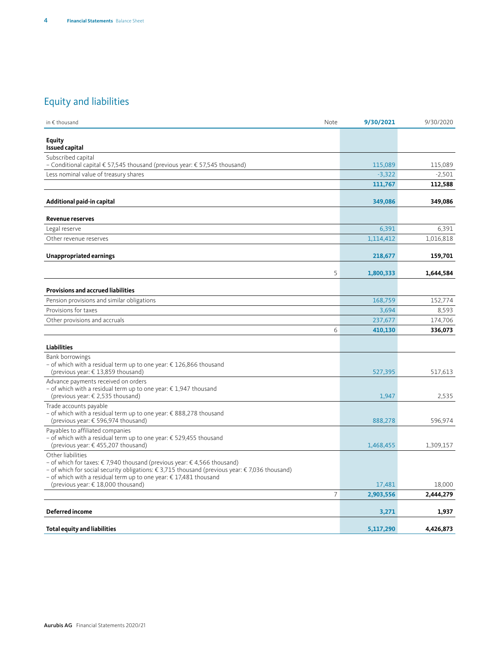### Equity and liabilities

| in $\epsilon$ thousand                                                                                                                                                                                                                                                                                              | Note | 9/30/2021 | 9/30/2020 |
|---------------------------------------------------------------------------------------------------------------------------------------------------------------------------------------------------------------------------------------------------------------------------------------------------------------------|------|-----------|-----------|
| <b>Equity</b><br><b>Issued capital</b>                                                                                                                                                                                                                                                                              |      |           |           |
| Subscribed capital<br>- Conditional capital € 57,545 thousand (previous year: € 57,545 thousand)                                                                                                                                                                                                                    |      | 115,089   | 115,089   |
| Less nominal value of treasury shares                                                                                                                                                                                                                                                                               |      | $-3,322$  | $-2,501$  |
|                                                                                                                                                                                                                                                                                                                     |      | 111,767   | 112,588   |
| Additional paid-in capital                                                                                                                                                                                                                                                                                          |      | 349,086   | 349,086   |
| <b>Revenue reserves</b>                                                                                                                                                                                                                                                                                             |      |           |           |
| Legal reserve                                                                                                                                                                                                                                                                                                       |      | 6,391     | 6,391     |
| Other revenue reserves                                                                                                                                                                                                                                                                                              |      | 1,114,412 | 1,016,818 |
| Unappropriated earnings                                                                                                                                                                                                                                                                                             |      | 218,677   | 159,701   |
|                                                                                                                                                                                                                                                                                                                     | 5    | 1,800,333 | 1,644,584 |
| <b>Provisions and accrued liabilities</b>                                                                                                                                                                                                                                                                           |      |           |           |
| Pension provisions and similar obligations                                                                                                                                                                                                                                                                          |      | 168,759   | 152,774   |
| Provisions for taxes                                                                                                                                                                                                                                                                                                |      | 3,694     | 8,593     |
| Other provisions and accruals                                                                                                                                                                                                                                                                                       |      | 237,677   | 174,706   |
|                                                                                                                                                                                                                                                                                                                     | 6    | 410,130   | 336,073   |
| <b>Liabilities</b>                                                                                                                                                                                                                                                                                                  |      |           |           |
| <b>Bank borrowings</b><br>- of which with a residual term up to one year: € 126,866 thousand<br>(previous year: $\in$ 13,859 thousand)                                                                                                                                                                              |      | 527,395   | 517,613   |
| Advance payments received on orders<br>- of which with a residual term up to one year: € 1,947 thousand<br>(previous year: € 2,535 thousand)                                                                                                                                                                        |      | 1,947     | 2,535     |
| Trade accounts payable<br>- of which with a residual term up to one year: € 888,278 thousand<br>(previous year: € 596,974 thousand)                                                                                                                                                                                 |      | 888,278   | 596,974   |
| Payables to affiliated companies<br>- of which with a residual term up to one year: € 529,455 thousand<br>(previous year: €455,207 thousand)                                                                                                                                                                        |      | 1,468,455 | 1,309,157 |
| Other liabilities<br>- of which for taxes: € 7,940 thousand (previous year: € 4,566 thousand)<br>– of which for social security obligations: € 3,715 thousand (previous year: € 7,036 thousand)<br>- of which with a residual term up to one year: € 17,481 thousand<br>(previous year: $\epsilon$ 18,000 thousand) |      | 17,481    | 18,000    |
|                                                                                                                                                                                                                                                                                                                     | 7    | 2,903,556 | 2,444,279 |
| <b>Deferred income</b>                                                                                                                                                                                                                                                                                              |      | 3,271     | 1,937     |
| <b>Total equity and liabilities</b>                                                                                                                                                                                                                                                                                 |      | 5,117,290 | 4,426,873 |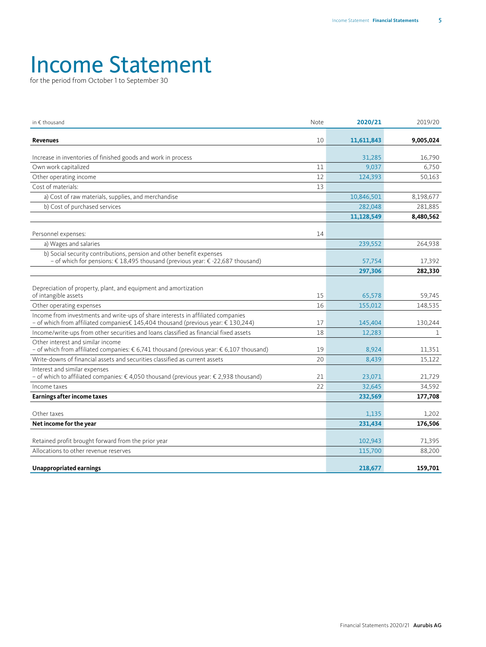### <span id="page-4-0"></span>Income Statement

for the period from October 1 to September 30

| in € thousand                                                                                                                                                         | Note | 2020/21    | 2019/20      |
|-----------------------------------------------------------------------------------------------------------------------------------------------------------------------|------|------------|--------------|
| <b>Revenues</b>                                                                                                                                                       | 10   | 11,611,843 | 9,005,024    |
| Increase in inventories of finished goods and work in process                                                                                                         |      | 31,285     | 16,790       |
| Own work capitalized                                                                                                                                                  | 11   | 9,037      | 6.750        |
| Other operating income                                                                                                                                                | 12   | 124,393    | 50,163       |
| Cost of materials:                                                                                                                                                    | 13   |            |              |
| a) Cost of raw materials, supplies, and merchandise                                                                                                                   |      | 10,846,501 | 8,198,677    |
| b) Cost of purchased services                                                                                                                                         |      | 282,048    | 281,885      |
|                                                                                                                                                                       |      | 11,128,549 | 8,480,562    |
| Personnel expenses:                                                                                                                                                   | 14   |            |              |
| a) Wages and salaries                                                                                                                                                 |      | 239,552    | 264,938      |
| b) Social security contributions, pension and other benefit expenses<br>- of which for pensions: € 18,495 thousand (previous year: € -22,687 thousand)                |      | 57,754     | 17,392       |
|                                                                                                                                                                       |      | 297,306    | 282,330      |
| Depreciation of property, plant, and equipment and amortization<br>of intangible assets                                                                               | 15   | 65,578     | 59.745       |
| Other operating expenses                                                                                                                                              | 16   | 155,012    | 148,535      |
| Income from investments and write-ups of share interests in affiliated companies<br>- of which from affiliated companies€ 145,404 thousand (previous year: € 130,244) | 17   | 145,404    | 130,244      |
| Income/write-ups from other securities and loans classified as financial fixed assets                                                                                 | 18   | 12,283     | $\mathbf{1}$ |
| Other interest and similar income<br>- of which from affiliated companies: € 6,741 thousand (previous year: € 6,107 thousand)                                         | 19   | 8,924      | 11,351       |
| Write-downs of financial assets and securities classified as current assets                                                                                           | 20   | 8,439      | 15,122       |
| Interest and similar expenses<br>- of which to affiliated companies: €4,050 thousand (previous year: €2,938 thousand)                                                 | 21   | 23,071     | 21,729       |
| Income taxes                                                                                                                                                          | 22   | 32,645     | 34,592       |
| <b>Earnings after income taxes</b>                                                                                                                                    |      | 232,569    | 177,708      |
| Other taxes                                                                                                                                                           |      | 1,135      | 1,202        |
| Net income for the year                                                                                                                                               |      | 231,434    | 176,506      |
| Retained profit brought forward from the prior year                                                                                                                   |      | 102,943    | 71,395       |
| Allocations to other revenue reserves                                                                                                                                 |      | 115,700    | 88,200       |
| Unappropriated earnings                                                                                                                                               |      | 218,677    | 159,701      |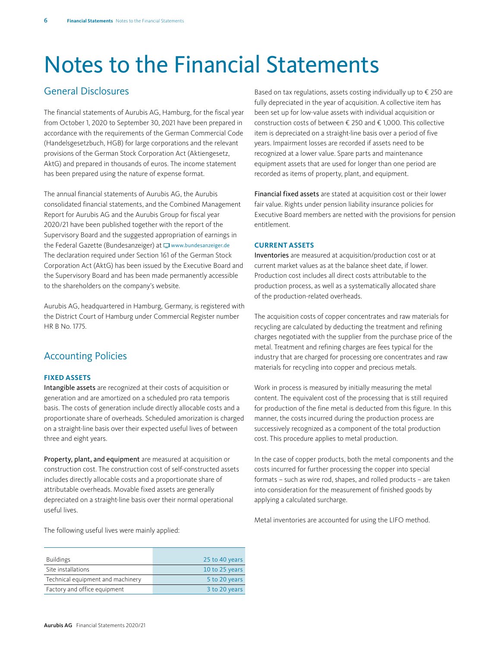## <span id="page-5-0"></span>Notes to the Financial Statements

#### General Disclosures

The financial statements of Aurubis AG, Hamburg, for the fiscal year from October 1, 2020 to September 30, 2021 have been prepared in accordance with the requirements of the German Commercial Code (Handelsgesetzbuch, HGB) for large corporations and the relevant provisions of the German Stock Corporation Act (Aktiengesetz, AktG) and prepared in thousands of euros. The income statement has been prepared using the nature of expense format.

The annual financial statements of Aurubis AG, the Aurubis consolidated financial statements, and the Combined Management Report for Aurubis AG and the Aurubis Group for fiscal year 2020/21 have been published together with the report of the Supervisory Board and the suggested appropriation of earnings in the Federal Gazette (Bundesanzeiger) at  $\Box$  www.bundesanzeiger.de The declaration required under Section 161 of the German Stock Corporation Act (AktG) has been issued by the Executive Board and the Supervisory Board and has been made permanently accessible to the shareholders on the company's website.

Aurubis AG, headquartered in Hamburg, Germany, is registered with the District Court of Hamburg under Commercial Register number HR B No. 1775.

#### Accounting Policies

#### **FIXED ASSETS**

Intangible assets are recognized at their costs of acquisition or generation and are amortized on a scheduled pro rata temporis basis. The costs of generation include directly allocable costs and a proportionate share of overheads. Scheduled amorization is charged on a straight-line basis over their expected useful lives of between three and eight years.

Property, plant, and equipment are measured at acquisition or construction cost. The construction cost of self-constructed assets includes directly allocable costs and a proportionate share of attributable overheads. Movable fixed assets are generally depreciated on a straight-line basis over their normal operational useful lives.

The following useful lives were mainly applied:

| <b>Buildings</b>                  | 25 to 40 years |
|-----------------------------------|----------------|
| Site installations                | 10 to 25 years |
| Technical equipment and machinery | 5 to 20 years  |
| Factory and office equipment      | 3 to 20 years  |

Based on tax regulations, assets costing individually up to  $\epsilon$  250 are fully depreciated in the year of acquisition. A collective item has been set up for low-value assets with individual acquisition or construction costs of between € 250 and € 1,000. This collective item is depreciated on a straight-line basis over a period of five years. Impairment losses are recorded if assets need to be recognized at a lower value. Spare parts and maintenance equipment assets that are used for longer than one period are recorded as items of property, plant, and equipment.

Financial fixed assets are stated at acquisition cost or their lower fair value. Rights under pension liability insurance policies for Executive Board members are netted with the provisions for pension entitlement.

#### **CURRENT ASSETS**

Inventories are measured at acquisition/production cost or at current market values as at the balance sheet date, if lower. Production cost includes all direct costs attributable to the production process, as well as a systematically allocated share of the production-related overheads.

The acquisition costs of copper concentrates and raw materials for recycling are calculated by deducting the treatment and refining charges negotiated with the supplier from the purchase price of the metal. Treatment and refining charges are fees typical for the industry that are charged for processing ore concentrates and raw materials for recycling into copper and precious metals.

Work in process is measured by initially measuring the metal content. The equivalent cost of the processing that is still required for production of the fine metal is deducted from this figure. In this manner, the costs incurred during the production process are successively recognized as a component of the total production cost. This procedure applies to metal production.

In the case of copper products, both the metal components and the costs incurred for further processing the copper into special formats – such as wire rod, shapes, and rolled products – are taken into consideration for the measurement of finished goods by applying a calculated surcharge.

Metal inventories are accounted for using the LIFO method.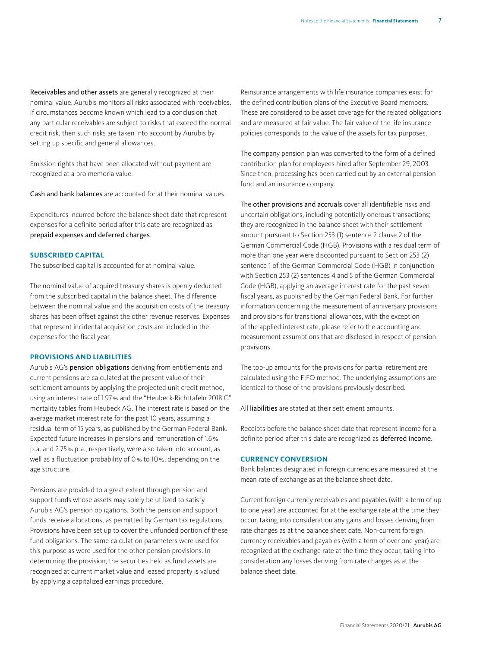Receivables and other assets are generally recognized at their nominal value. Aurubis monitors all risks associated with receivables. If circumstances become known which lead to a conclusion that any particular receivables are subject to risks that exceed the normal credit risk, then such risks are taken into account by Aurubis by setting up specific and general allowances.

Emission rights that have been allocated without payment are recognized at a pro memoria value.

Cash and bank balances are accounted for at their nominal values.

Expenditures incurred before the balance sheet date that represent expenses for a definite period after this date are recognized as prepaid expenses and deferred charges.

#### **SUBSCRIBED CAPITAL**

The subscribed capital is accounted for at nominal value.

The nominal value of acquired treasury shares is openly deducted from the subscribed capital in the balance sheet. The difference between the nominal value and the acquisition costs of the treasury shares has been offset against the other revenue reserves. Expenses that represent incidental acquisition costs are included in the expenses for the fiscal year.

#### **PROVISIONS AND LIABILITIES**

Aurubis AG's pension obligations deriving from entitlements and current pensions are calculated at the present value of their settlement amounts by applying the projected unit credit method, using an interest rate of 1.97% and the "Heubeck-Richttafeln 2018 G" mortality tables from Heubeck AG. The interest rate is based on the average market interest rate for the past 10 years, assuming a residual term of 15 years, as published by the German Federal Bank. Expected future increases in pensions and remuneration of 1.6% p. a. and 2.75% p. a., respectively, were also taken into account, as well as a fluctuation probability of 0% to 10%, depending on the age structure.

Pensions are provided to a great extent through pension and support funds whose assets may solely be utilized to satisfy Aurubis AG's pension obligations. Both the pension and support funds receive allocations, as permitted by German tax regulations. Provisions have been set up to cover the unfunded portion of these fund obligations. The same calculation parameters were used for this purpose as were used for the other pension provisions. In determining the provision, the securities held as fund assets are recognized at current market value and leased property is valued by applying a capitalized earnings procedure.

Reinsurance arrangements with life insurance companies exist for the defined contribution plans of the Executive Board members. These are considered to be asset coverage for the related obligations and are measured at fair value. The fair value of the life insurance policies corresponds to the value of the assets for tax purposes.

The company pension plan was converted to the form of a defined contribution plan for employees hired after September 29, 2003. Since then, processing has been carried out by an external pension fund and an insurance company.

The other provisions and accruals cover all identifiable risks and uncertain obligations, including potentially onerous transactions; they are recognized in the balance sheet with their settlement amount pursuant to Section 253 (1) sentence 2 clause 2 of the German Commercial Code (HGB). Provisions with a residual term of more than one year were discounted pursuant to Section 253 (2) sentence 1 of the German Commercial Code (HGB) in conjunction with Section 253 (2) sentences 4 and 5 of the German Commercial Code (HGB), applying an average interest rate for the past seven fiscal years, as published by the German Federal Bank. For further information concerning the measurement of anniversary provisions and provisions for transitional allowances, with the exception of the applied interest rate, please refer to the accounting and measurement assumptions that are disclosed in respect of pension provisions.

The top-up amounts for the provisions for partial retirement are calculated using the FIFO method. The underlying assumptions are identical to those of the provisions previously described.

All liabilities are stated at their settlement amounts.

Receipts before the balance sheet date that represent income for a definite period after this date are recognized as deferred income.

#### **CURRENCY CONVERSION**

Bank balances designated in foreign currencies are measured at the mean rate of exchange as at the balance sheet date.

Current foreign currency receivables and payables (with a term of up to one year) are accounted for at the exchange rate at the time they occur, taking into consideration any gains and losses deriving from rate changes as at the balance sheet date. Non-current foreign currency receivables and payables (with a term of over one year) are recognized at the exchange rate at the time they occur, taking into consideration any losses deriving from rate changes as at the balance sheet date.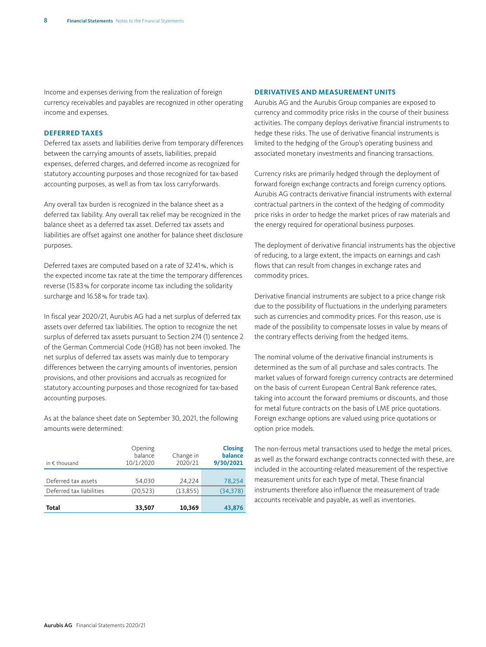Income and expenses deriving from the realization of foreign currency receivables and payables are recognized in other operating income and expenses.

#### **DEFERRED TAXES**

Deferred tax assets and liabilities derive from temporary differences between the carrying amounts of assets, liabilities, prepaid expenses, deferred charges, and deferred income as recognized for statutory accounting purposes and those recognized for tax-based accounting purposes, as well as from tax loss carryforwards.

Any overall tax burden is recognized in the balance sheet as a deferred tax liability. Any overall tax relief may be recognized in the balance sheet as a deferred tax asset. Deferred tax assets and liabilities are offset against one another for balance sheet disclosure purposes.

Deferred taxes are computed based on a rate of 32.41%, which is the expected income tax rate at the time the temporary differences reverse (15.83% for corporate income tax including the solidarity surcharge and 16.58% for trade tax).

In fiscal year 2020/21, Aurubis AG had a net surplus of deferred tax assets over deferred tax liabilities. The option to recognize the net surplus of deferred tax assets pursuant to Section 274 (1) sentence 2 of the German Commercial Code (HGB) has not been invoked. The net surplus of deferred tax assets was mainly due to temporary differences between the carrying amounts of inventories, pension provisions, and other provisions and accruals as recognized for statutory accounting purposes and those recognized for tax-based accounting purposes.

As at the balance sheet date on September 30, 2021, the following amounts were determined:

| in $\epsilon$ thousand   | Opening<br>balance<br>10/1/2020 | Change in<br>2020/21 | <b>Closing</b><br>balance<br>9/30/2021 |
|--------------------------|---------------------------------|----------------------|----------------------------------------|
| Deferred tax assets      | 54.030                          | 24.224               | 78,254                                 |
| Deferred tax liabilities | (20, 523)                       | (13,855)             | (34, 378)                              |
| Total                    | 33,507                          | 10,369               | 43,876                                 |

#### **DERIVATIVES AND MEASUREMENT UNITS**

Aurubis AG and the Aurubis Group companies are exposed to currency and commodity price risks in the course of their business activities. The company deploys derivative financial instruments to hedge these risks. The use of derivative financial instruments is limited to the hedging of the Group's operating business and associated monetary investments and financing transactions.

Currency risks are primarily hedged through the deployment of forward foreign exchange contracts and foreign currency options. Aurubis AG contracts derivative financial instruments with external contractual partners in the context of the hedging of commodity price risks in order to hedge the market prices of raw materials and the energy required for operational business purposes.

The deployment of derivative financial instruments has the objective of reducing, to a large extent, the impacts on earnings and cash flows that can result from changes in exchange rates and commodity prices.

Derivative financial instruments are subject to a price change risk due to the possibility of fluctuations in the underlying parameters such as currencies and commodity prices. For this reason, use is made of the possibility to compensate losses in value by means of the contrary effects deriving from the hedged items.

The nominal volume of the derivative financial instruments is determined as the sum of all purchase and sales contracts. The market values of forward foreign currency contracts are determined on the basis of current European Central Bank reference rates, taking into account the forward premiums or discounts, and those for metal future contracts on the basis of LME price quotations. Foreign exchange options are valued using price quotations or option price models.

The non-ferrous metal transactions used to hedge the metal prices, as well as the forward exchange contracts connected with these, are included in the accounting-related measurement of the respective measurement units for each type of metal. These financial instruments therefore also influence the measurement of trade accounts receivable and payable, as well as inventories.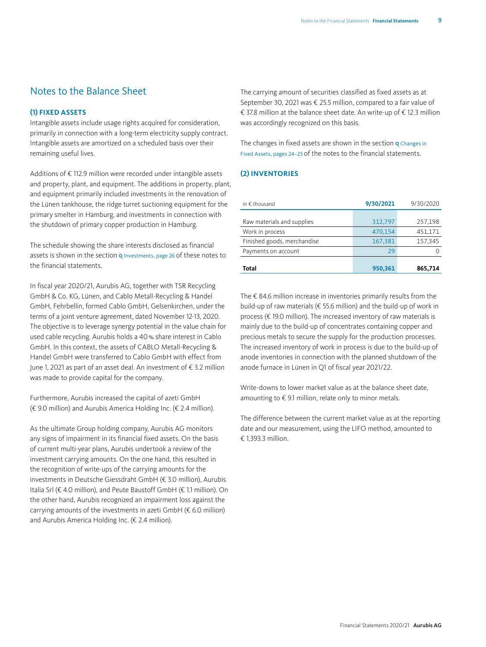#### <span id="page-8-0"></span>Notes to the Balance Sheet

#### **(1) FIXED ASSETS**

Intangible assets include usage rights acquired for consideration, primarily in connection with a long-term electricity supply contract. Intangible assets are amortized on a scheduled basis over their remaining useful lives.

Additions of € 112.9 million were recorded under intangible assets and property, plant, and equipment. The additions in property, plant, and equipment primarily included investments in the renovation of the Lünen tankhouse, the ridge turret suctioning equipment for the primary smelter in Hamburg, and investments in connection with the shutdown of primary copper production in Hamburg.

The schedule showing the share interests disclosed as financial assets is shown in the section **Q** [Investments, page 26](#page-25-0) of these notes to the financial statements.

In fiscal year 2020/21, Aurubis AG, together with TSR Recycling GmbH & Co. KG, Lünen, and Cablo Metall-Recycling & Handel GmbH, Fehrbellin, formed Cablo GmbH, Gelsenkirchen, under the terms of a joint venture agreement, dated November 12-13, 2020. The objective is to leverage synergy potential in the value chain for used cable recycling. Aurubis holds a 40% share interest in Cablo GmbH. In this context, the assets of CABLO Metall-Recycling & Handel GmbH were transferred to Cablo GmbH with effect from June 1, 2021 as part of an asset deal. An investment of € 3.2 million was made to provide capital for the company.

Furthermore, Aurubis increased the capital of azeti GmbH (€ 9.0 million) and Aurubis America Holding Inc. (€ 2.4 million).

As the ultimate Group holding company, Aurubis AG monitors any signs of impairment in its financial fixed assets. On the basis of current multi-year plans, Aurubis undertook a review of the investment carrying amounts. On the one hand, this resulted in the recognition of write-ups of the carrying amounts for the investments in Deutsche Giessdraht GmbH (€ 3.0 million), Aurubis Italia Srl (€ 4.0 million), and Peute Baustoff GmbH (€ 1.1 million). On the other hand, Aurubis recognized an impairment loss against the carrying amounts of the investments in azeti GmbH (€ 6.0 million) and Aurubis America Holding Inc. (€ 2.4 million).

The carrying amount of securities classified as fixed assets as at September 30, 2021 was € 25.5 million, compared to a fair value of € 37.8 million at the balance sheet date. An write-up of € 12.3 million was accordingly recognized on this basis.

[The changes in fixed assets are shown in the section](#page-23-0)  $Q$  Changes in Fixed Assets, pages 24–25 of the notes to the financial statements.

#### **(2) INVENTORIES**

| in $\epsilon$ thousand      | 9/30/2021 | 9/30/2020 |
|-----------------------------|-----------|-----------|
|                             | 312,797   |           |
| Raw materials and supplies  |           | 257,198   |
| Work in process             | 470,154   | 451,171   |
| Finished goods, merchandise | 167,381   | 157,345   |
| Payments on account         | 29        |           |
|                             |           |           |
| Total                       | 950,361   | 865,714   |

The € 84.6 million increase in inventories primarily results from the build-up of raw materials (€ 55.6 million) and the build-up of work in process (€ 19.0 million). The increased inventory of raw materials is mainly due to the build-up of concentrates containing copper and precious metals to secure the supply for the production processes. The increased inventory of work in process is due to the build-up of anode inventories in connection with the planned shutdown of the anode furnace in Lünen in Q1 of fiscal year 2021/22.

Write-downs to lower market value as at the balance sheet date, amounting to  $\epsilon$  9.1 million, relate only to minor metals.

The difference between the current market value as at the reporting date and our measurement, using the LIFO method, amounted to  $£ 13933$  million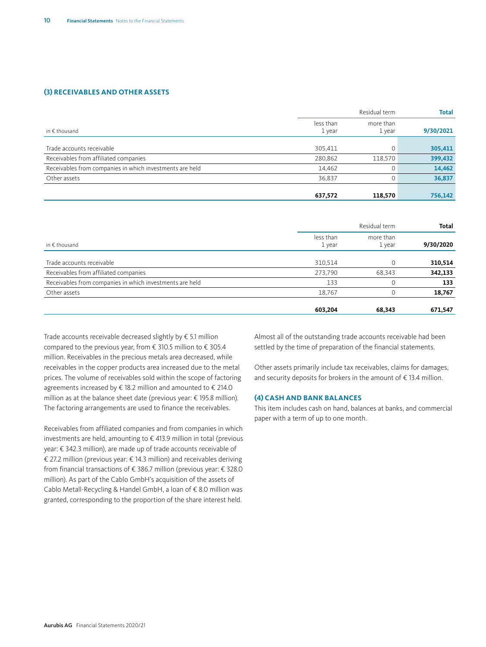#### **(3) RECEIVABLES AND OTHER ASSETS**

|                                                          |                     | Residual term<br><b>Total</b> |           |
|----------------------------------------------------------|---------------------|-------------------------------|-----------|
| in $\epsilon$ thousand                                   | less than<br>1 year | more than<br>1 year           | 9/30/2021 |
|                                                          |                     |                               |           |
| Trade accounts receivable                                | 305,411             |                               | 305,411   |
| Receivables from affiliated companies                    | 280,862             | 118,570                       | 399,432   |
| Receivables from companies in which investments are held | 14,462              |                               | 14,462    |
| Other assets                                             | 36,837              |                               | 36,837    |
|                                                          |                     |                               |           |
|                                                          | 637,572             | 118,570                       | 756,142   |

|                                                          |                     | Residual term       |           |
|----------------------------------------------------------|---------------------|---------------------|-----------|
| in $\notin$ thousand                                     | less than<br>1 year | more than<br>1 year | 9/30/2020 |
|                                                          |                     |                     |           |
| Trade accounts receivable                                | 310,514             | $\Omega$            | 310,514   |
| Receivables from affiliated companies                    | 273,790             | 68,343              | 342,133   |
| Receivables from companies in which investments are held | 133                 | $\Omega$            | 133       |
| Other assets                                             | 18,767              | $\Omega$            | 18,767    |
|                                                          | 603,204             | 68,343              | 671,547   |

Trade accounts receivable decreased slightly by  $\epsilon$  5.1 million compared to the previous year, from € 310.5 million to € 305.4 million. Receivables in the precious metals area decreased, while receivables in the copper products area increased due to the metal prices. The volume of receivables sold within the scope of factoring agreements increased by € 18.2 million and amounted to € 214.0 million as at the balance sheet date (previous year: € 195.8 million). The factoring arrangements are used to finance the receivables.

Receivables from affiliated companies and from companies in which investments are held, amounting to € 413.9 million in total (previous year: € 342.3 million), are made up of trade accounts receivable of € 27.2 million (previous year: € 14.3 million) and receivables deriving from financial transactions of € 386.7 million (previous year: € 328.0 million). As part of the Cablo GmbH's acquisition of the assets of Cablo Metall-Recycling & Handel GmbH, a loan of € 8.0 million was granted, corresponding to the proportion of the share interest held.

Almost all of the outstanding trade accounts receivable had been settled by the time of preparation of the financial statements.

Other assets primarily include tax receivables, claims for damages, and security deposits for brokers in the amount of  $\epsilon$  13.4 million.

#### **(4) CASH AND BANK BALANCES**

This item includes cash on hand, balances at banks, and commercial paper with a term of up to one month.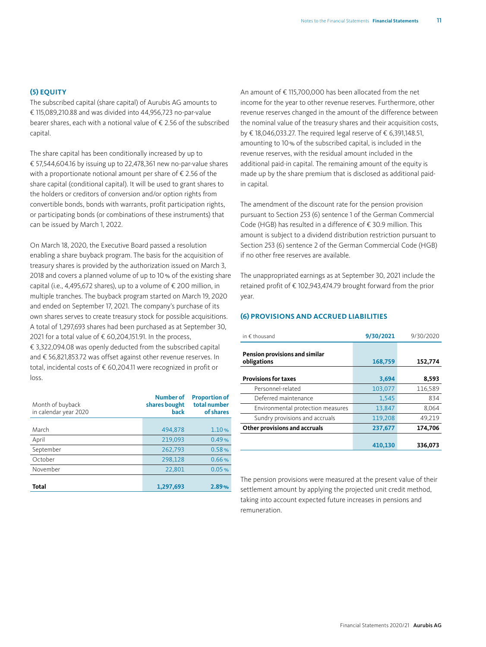#### **(5) EQUITY**

The subscribed capital (share capital) of Aurubis AG amounts to  $£ 115,089,210,88$  and was divided into 44,956,723 no-par-value bearer shares, each with a notional value of € 2.56 of the subscribed capital.

The share capital has been conditionally increased by up to € 57,544,604.16 by issuing up to 22,478,361 new no-par-value shares with a proportionate notional amount per share of  $\epsilon$  2.56 of the share capital (conditional capital). It will be used to grant shares to the holders or creditors of conversion and/or option rights from convertible bonds, bonds with warrants, profit participation rights, or participating bonds (or combinations of these instruments) that can be issued by March 1, 2022.

On March 18, 2020, the Executive Board passed a resolution enabling a share buyback program. The basis for the acquisition of treasury shares is provided by the authorization issued on March 3, 2018 and covers a planned volume of up to 10% of the existing share capital (i.e., 4,495,672 shares), up to a volume of € 200 million, in multiple tranches. The buyback program started on March 19, 2020 and ended on September 17, 2021. The company's purchase of its own shares serves to create treasury stock for possible acquisitions. A total of 1,297,693 shares had been purchased as at September 30, 2021 for a total value of  $\epsilon$  60,204,151.91. In the process, € 3,322,094.08 was openly deducted from the subscribed capital and € 56,821,853.72 was offset against other revenue reserves. In total, incidental costs of € 60,204.11 were recognized in profit or loss.

| Month of buyback<br>in calendar year 2020 | <b>Number of</b><br>shares bought<br>back | <b>Proportion of</b><br>total number<br>of shares |
|-------------------------------------------|-------------------------------------------|---------------------------------------------------|
|                                           |                                           |                                                   |
| March                                     | 494,878                                   | 1.10%                                             |
| April                                     | 219.093                                   | 0.49%                                             |
| September                                 | 262,793                                   | 0.58%                                             |
| October                                   | 298,128                                   | 0.66%                                             |
| November                                  | 22,801                                    | 0.05%                                             |
|                                           |                                           |                                                   |
| <b>Total</b>                              | 1,297,693                                 | 2.89%                                             |

An amount of € 115,700,000 has been allocated from the net income for the year to other revenue reserves. Furthermore, other revenue reserves changed in the amount of the difference between the nominal value of the treasury shares and their acquisition costs, by € 18,046,033.27. The required legal reserve of € 6,391,148.51, amounting to 10% of the subscribed capital, is included in the revenue reserves, with the residual amount included in the additional paid-in capital. The remaining amount of the equity is made up by the share premium that is disclosed as additional paidin capital.

The amendment of the discount rate for the pension provision pursuant to Section 253 (6) sentence 1 of the German Commercial Code (HGB) has resulted in a difference of € 30.9 million. This amount is subject to a dividend distribution restriction pursuant to Section 253 (6) sentence 2 of the German Commercial Code (HGB) if no other free reserves are available.

The unappropriated earnings as at September 30, 2021 include the retained profit of € 102,943,474.79 brought forward from the prior year.

#### **(6) PROVISIONS AND ACCRUED LIABILITIES**

| in $\epsilon$ thousand                        | 9/30/2021 | 9/30/2020 |
|-----------------------------------------------|-----------|-----------|
| Pension provisions and similar<br>obligations | 168,759   | 152,774   |
| <b>Provisions for taxes</b>                   | 3,694     | 8,593     |
| Personnel-related                             | 103,077   | 116,589   |
| Deferred maintenance                          | 1,545     | 834       |
| Environmental protection measures             | 13,847    | 8,064     |
| Sundry provisions and accruals                | 119,208   | 49,219    |
| Other provisions and accruals                 | 237,677   | 174,706   |
|                                               | 410.130   | 336.073   |

The pension provisions were measured at the present value of their settlement amount by applying the projected unit credit method, taking into account expected future increases in pensions and remuneration.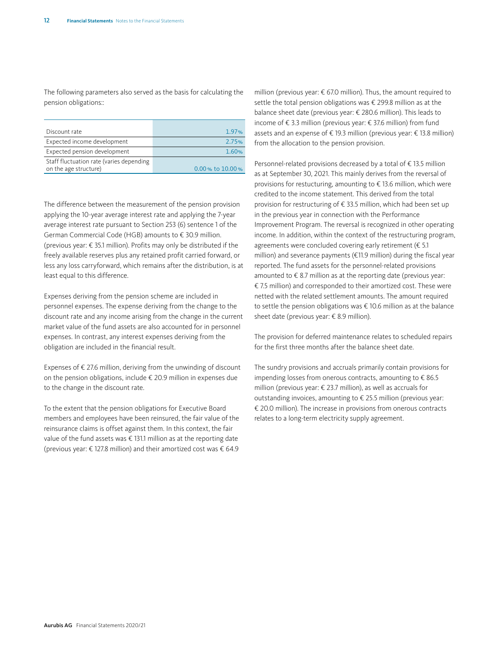The following parameters also served as the basis for calculating the pension obligations::

| Discount rate                                                     | 1.97%                 |
|-------------------------------------------------------------------|-----------------------|
| Expected income development                                       | 2.75%                 |
| Expected pension development                                      | 1.60%                 |
| Staff fluctuation rate (varies depending<br>on the age structure) | $0.00$ % to $10.00$ % |

The difference between the measurement of the pension provision applying the 10-year average interest rate and applying the 7-year average interest rate pursuant to Section 253 (6) sentence 1 of the German Commercial Code (HGB) amounts to € 30.9 million. (previous year: € 35.1 million). Profits may only be distributed if the freely available reserves plus any retained profit carried forward, or less any loss carryforward, which remains after the distribution, is at least equal to this difference.

Expenses deriving from the pension scheme are included in personnel expenses. The expense deriving from the change to the discount rate and any income arising from the change in the current market value of the fund assets are also accounted for in personnel expenses. In contrast, any interest expenses deriving from the obligation are included in the financial result.

Expenses of  $\epsilon$  27.6 million, deriving from the unwinding of discount on the pension obligations, include € 20.9 million in expenses due to the change in the discount rate.

To the extent that the pension obligations for Executive Board members and employees have been reinsured, the fair value of the reinsurance claims is offset against them. In this context, the fair value of the fund assets was € 131.1 million as at the reporting date (previous year: € 127.8 million) and their amortized cost was € 64.9 million (previous year: € 67.0 million). Thus, the amount required to settle the total pension obligations was € 299.8 million as at the balance sheet date (previous year: € 280.6 million). This leads to income of € 3.3 million (previous year: € 37.6 million) from fund assets and an expense of € 19.3 million (previous year: € 13.8 million) from the allocation to the pension provision.

Personnel-related provisions decreased by a total of € 13.5 million as at September 30, 2021. This mainly derives from the reversal of provisions for restucturing, amounting to € 13.6 million, which were credited to the income statement. This derived from the total provision for restructuring of € 33.5 million, which had been set up in the previous year in connection with the Performance Improvement Program. The reversal is recognized in other operating income. In addition, within the context of the restructuring program, agreements were concluded covering early retirement (€ 5.1 million) and severance payments (€11.9 million) during the fiscal year reported. The fund assets for the personnel-related provisions amounted to  $\epsilon$  8.7 million as at the reporting date (previous year: € 7.5 million) and corresponded to their amortized cost. These were netted with the related settlement amounts. The amount required to settle the pension obligations was € 10.6 million as at the balance sheet date (previous year: € 8.9 million).

The provision for deferred maintenance relates to scheduled repairs for the first three months after the balance sheet date.

The sundry provisions and accruals primarily contain provisions for impending losses from onerous contracts, amounting to  $\epsilon$  86.5 million (previous year: € 23.7 million), as well as accruals for outstanding invoices, amounting to € 25.5 million (previous year: € 20.0 million). The increase in provisions from onerous contracts relates to a long-term electricity supply agreement.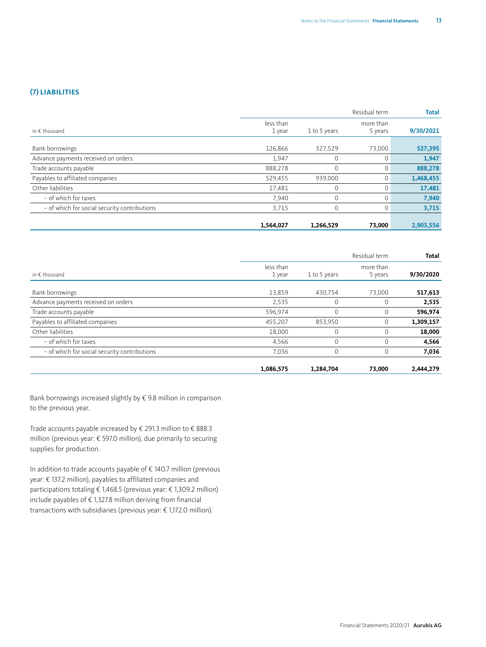#### **(7) LIABILITIES**

|                                              |                     |              | Residual term        | <b>Total</b> |
|----------------------------------------------|---------------------|--------------|----------------------|--------------|
| in $\epsilon$ thousand                       | less than<br>1 year | 1 to 5 years | more than<br>5 years | 9/30/2021    |
| Bank borrowings                              | 126,866             | 327.529      | 73,000               | 527,395      |
| Advance payments received on orders          | 1,947               | $\Omega$     | $\Omega$             | 1,947        |
| Trade accounts payable                       | 888.278             | $\Omega$     | $\Omega$             | 888,278      |
| Payables to affiliated companies             | 529,455             | 939,000      | 0                    | 1,468,455    |
| Other liabilities                            | 17,481              | $\mathbf 0$  | $\Omega$             | 17,481       |
| - of which for taxes                         | 7,940               | $\mathbf 0$  | $\Omega$             | 7,940        |
| - of which for social security contributions | 3,715               | $\Omega$     | $\Omega$             | 3,715        |
|                                              | 1,564,027           | 1,266,529    | 73,000               | 2,903,556    |

|                                              |                     | Residual term                        |             |           |  |
|----------------------------------------------|---------------------|--------------------------------------|-------------|-----------|--|
| in $\epsilon$ thousand                       | less than<br>1 year | more than<br>1 to 5 years<br>5 years |             | 9/30/2020 |  |
| Bank borrowings                              | 13,859              | 430.754                              | 73,000      | 517,613   |  |
| Advance payments received on orders          | 2,535               | 0                                    | $\mathbf 0$ | 2,535     |  |
| Trade accounts payable                       | 596,974             | $\Omega$                             | 0           | 596,974   |  |
| Payables to affiliated companies             | 455,207             | 853,950                              | 0           | 1,309,157 |  |
| Other liabilities                            | 18,000              | 0                                    | $\Omega$    | 18,000    |  |
| - of which for taxes                         | 4,566               | $\Omega$                             | $\Omega$    | 4,566     |  |
| - of which for social security contributions | 7.036               | 0                                    | $\Omega$    | 7,036     |  |
|                                              | 1,086,575           | 1,284,704                            | 73,000      | 2,444,279 |  |

Bank borrowings increased slightly by € 9.8 million in comparison to the previous year.

Trade accounts payable increased by € 291.3 million to € 888.3 million (previous year: € 597.0 million), due primarily to securing supplies for production.

In addition to trade accounts payable of € 140.7 million (previous year: € 137.2 million), payables to affiliated companies and participations totaling € 1,468.5 (previous year: € 1,309.2 million) include payables of  $\epsilon$  1,327.8 million deriving from financial transactions with subsidiaries (previous year: € 1,172.0 million).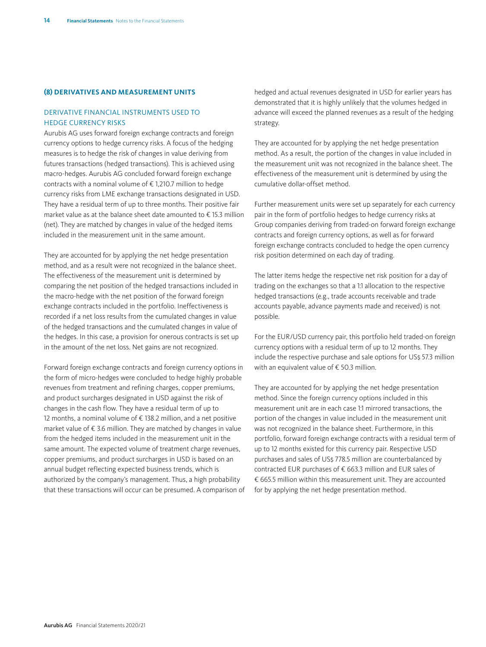#### **(8) DERIVATIVES AND MEASUREMENT UNITS**

#### DERIVATIVE FINANCIAL INSTRUMENTS USED TO HEDGE CURRENCY RISKS

Aurubis AG uses forward foreign exchange contracts and foreign currency options to hedge currency risks. A focus of the hedging measures is to hedge the risk of changes in value deriving from futures transactions (hedged transactions). This is achieved using macro-hedges. Aurubis AG concluded forward foreign exchange contracts with a nominal volume of € 1,210.7 million to hedge currency risks from LME exchange transactions designated in USD. They have a residual term of up to three months. Their positive fair market value as at the balance sheet date amounted to € 15.3 million (net). They are matched by changes in value of the hedged items included in the measurement unit in the same amount.

They are accounted for by applying the net hedge presentation method, and as a result were not recognized in the balance sheet. The effectiveness of the measurement unit is determined by comparing the net position of the hedged transactions included in the macro-hedge with the net position of the forward foreign exchange contracts included in the portfolio. Ineffectiveness is recorded if a net loss results from the cumulated changes in value of the hedged transactions and the cumulated changes in value of the hedges. In this case, a provision for onerous contracts is set up in the amount of the net loss. Net gains are not recognized.

Forward foreign exchange contracts and foreign currency options in the form of micro-hedges were concluded to hedge highly probable revenues from treatment and refining charges, copper premiums, and product surcharges designated in USD against the risk of changes in the cash flow. They have a residual term of up to 12 months, a nominal volume of € 138.2 million, and a net positive market value of € 3.6 million. They are matched by changes in value from the hedged items included in the measurement unit in the same amount. The expected volume of treatment charge revenues, copper premiums, and product surcharges in USD is based on an annual budget reflecting expected business trends, which is authorized by the company's management. Thus, a high probability that these transactions will occur can be presumed. A comparison of hedged and actual revenues designated in USD for earlier years has demonstrated that it is highly unlikely that the volumes hedged in advance will exceed the planned revenues as a result of the hedging strategy.

They are accounted for by applying the net hedge presentation method. As a result, the portion of the changes in value included in the measurement unit was not recognized in the balance sheet. The effectiveness of the measurement unit is determined by using the cumulative dollar-offset method.

Further measurement units were set up separately for each currency pair in the form of portfolio hedges to hedge currency risks at Group companies deriving from traded-on forward foreign exchange contracts and foreign currency options, as well as for forward foreign exchange contracts concluded to hedge the open currency risk position determined on each day of trading.

The latter items hedge the respective net risk position for a day of trading on the exchanges so that a 1:1 allocation to the respective hedged transactions (e.g., trade accounts receivable and trade accounts payable, advance payments made and received) is not possible.

For the EUR/USD currency pair, this portfolio held traded-on foreign currency options with a residual term of up to 12 months. They include the respective purchase and sale options for US\$ 57.3 million with an equivalent value of € 50.3 million.

They are accounted for by applying the net hedge presentation method. Since the foreign currency options included in this measurement unit are in each case 1:1 mirrored transactions, the portion of the changes in value included in the measurement unit was not recognized in the balance sheet. Furthermore, in this portfolio, forward foreign exchange contracts with a residual term of up to 12 months existed for this currency pair. Respective USD purchases and sales of US\$ 778.5 million are counterbalanced by contracted EUR purchases of € 663.3 million and EUR sales of € 665.5 million within this measurement unit. They are accounted for by applying the net hedge presentation method.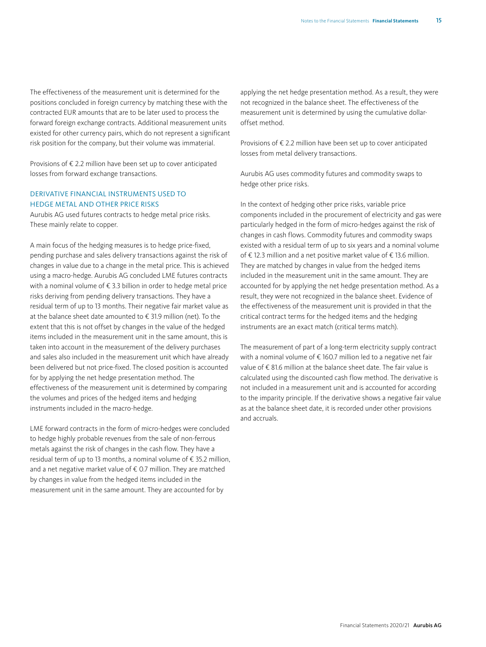The effectiveness of the measurement unit is determined for the positions concluded in foreign currency by matching these with the contracted EUR amounts that are to be later used to process the forward foreign exchange contracts. Additional measurement units existed for other currency pairs, which do not represent a significant risk position for the company, but their volume was immaterial.

Provisions of € 2.2 million have been set up to cover anticipated losses from forward exchange transactions.

#### DERIVATIVE FINANCIAL INSTRUMENTS USED TO HEDGE METAL AND OTHER PRICE RISKS

Aurubis AG used futures contracts to hedge metal price risks. These mainly relate to copper.

A main focus of the hedging measures is to hedge price-fixed, pending purchase and sales delivery transactions against the risk of changes in value due to a change in the metal price. This is achieved using a macro-hedge. Aurubis AG concluded LME futures contracts with a nominal volume of € 3.3 billion in order to hedge metal price risks deriving from pending delivery transactions. They have a residual term of up to 13 months. Their negative fair market value as at the balance sheet date amounted to € 31.9 million (net). To the extent that this is not offset by changes in the value of the hedged items included in the measurement unit in the same amount, this is taken into account in the measurement of the delivery purchases and sales also included in the measurement unit which have already been delivered but not price-fixed. The closed position is accounted for by applying the net hedge presentation method. The effectiveness of the measurement unit is determined by comparing the volumes and prices of the hedged items and hedging instruments included in the macro-hedge.

LME forward contracts in the form of micro-hedges were concluded to hedge highly probable revenues from the sale of non-ferrous metals against the risk of changes in the cash flow. They have a residual term of up to 13 months, a nominal volume of € 35.2 million, and a net negative market value of € 0.7 million. They are matched by changes in value from the hedged items included in the measurement unit in the same amount. They are accounted for by

applying the net hedge presentation method. As a result, they were not recognized in the balance sheet. The effectiveness of the measurement unit is determined by using the cumulative dollaroffset method.

Provisions of € 2.2 million have been set up to cover anticipated losses from metal delivery transactions.

Aurubis AG uses commodity futures and commodity swaps to hedge other price risks.

In the context of hedging other price risks, variable price components included in the procurement of electricity and gas were particularly hedged in the form of micro-hedges against the risk of changes in cash flows. Commodity futures and commodity swaps existed with a residual term of up to six years and a nominal volume of € 12.3 million and a net positive market value of € 13.6 million. They are matched by changes in value from the hedged items included in the measurement unit in the same amount. They are accounted for by applying the net hedge presentation method. As a result, they were not recognized in the balance sheet. Evidence of the effectiveness of the measurement unit is provided in that the critical contract terms for the hedged items and the hedging instruments are an exact match (critical terms match).

The measurement of part of a long-term electricity supply contract with a nominal volume of € 160.7 million led to a negative net fair value of € 81.6 million at the balance sheet date. The fair value is calculated using the discounted cash flow method. The derivative is not included in a measurement unit and is accounted for according to the imparity principle. If the derivative shows a negative fair value as at the balance sheet date, it is recorded under other provisions and accruals.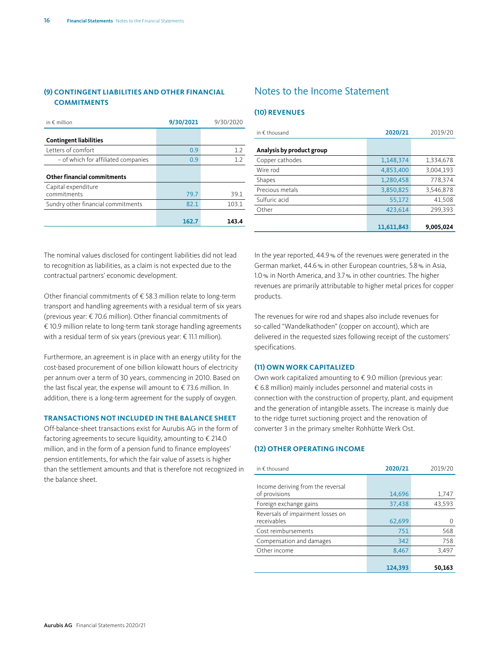#### <span id="page-15-0"></span>**(9) CONTINGENT LIABILITIES AND OTHER FINANCIAL COMMITMENTS**

| in $\epsilon$ million               | 9/30/2021 | 9/30/2020        |
|-------------------------------------|-----------|------------------|
| <b>Contingent liabilities</b>       |           |                  |
| Letters of comfort                  | 0.9       | 1.2 <sub>2</sub> |
| - of which for affiliated companies | 0.9       | 12               |
| <b>Other financial commitments</b>  |           |                  |
| Capital expenditure<br>commitments  | 79.7      | 39.1             |
| Sundry other financial commitments  | 82.1      | 103.1            |
|                                     | 162.7     | 143.4            |

#### Notes to the Income Statement

#### **(10) REVENUES**

| in $\notin$ thousand      | 2020/21    | 2019/20   |
|---------------------------|------------|-----------|
| Analysis by product group |            |           |
|                           |            |           |
| Copper cathodes           | 1,148,374  | 1,334,678 |
| Wire rod                  | 4,853,400  | 3,004,193 |
| Shapes                    | 1,280,458  | 778,374   |
| Precious metals           | 3,850,825  | 3,546,878 |
| Sulfuric acid             | 55,172     | 41,508    |
| Other                     | 423.614    | 299,393   |
|                           |            |           |
|                           | 11,611,843 | 9,005,024 |

The nominal values disclosed for contingent liabilities did not lead to recognition as liabilities, as a claim is not expected due to the contractual partners' economic development.

Other financial commitments of € 58.3 million relate to long-term transport and handling agreements with a residual term of six years (previous year: € 70.6 million). Other financial commitments of € 10.9 million relate to long-term tank storage handling agreements with a residual term of six years (previous year: € 11.1 million).

Furthermore, an agreement is in place with an energy utility for the cost-based procurement of one billion kilowatt hours of electricity per annum over a term of 30 years, commencing in 2010. Based on the last fiscal year, the expense will amount to € 73.6 million. In addition, there is a long-term agreement for the supply of oxygen.

#### **TRANSACTIONS NOT INCLUDED IN THE BALANCE SHEET**

Off-balance-sheet transactions exist for Aurubis AG in the form of factoring agreements to secure liquidity, amounting to  $\epsilon$  214.0 million, and in the form of a pension fund to finance employees' pension entitlements, for which the fair value of assets is higher than the settlement amounts and that is therefore not recognized in the balance sheet.

In the year reported, 44.9% of the revenues were generated in the German market, 44.6% in other European countries, 5.8% in Asia, 1.0% in North America, and 3.7% in other countries. The higher revenues are primarily attributable to higher metal prices for copper products.

The revenues for wire rod and shapes also include revenues for so-called "Wandelkathoden" (copper on account), which are delivered in the requested sizes following receipt of the customers' specifications.

#### **(11) OWN WORK CAPITALIZED**

Own work capitalized amounting to € 9.0 million (previous year: € 6.8 million) mainly includes personnel and material costs in connection with the construction of property, plant, and equipment and the generation of intangible assets. The increase is mainly due to the ridge turret suctioning project and the renovation of converter 3 in the primary smelter Rohhütte Werk Ost.

#### **(12) OTHER OPERATING INCOME**

| in $\epsilon$ thousand                             | 2020/21 | 2019/20 |
|----------------------------------------------------|---------|---------|
| Income deriving from the reversal<br>of provisions | 14,696  | 1,747   |
| Foreign exchange gains                             | 37,438  | 43,593  |
| Reversals of impairment losses on<br>receivables   | 62,699  |         |
| Cost reimbursements                                | 751     | 568     |
| Compensation and damages                           | 342     | 758     |
| Other income                                       | 8,467   | 3,497   |
|                                                    | 124,393 | 50.163  |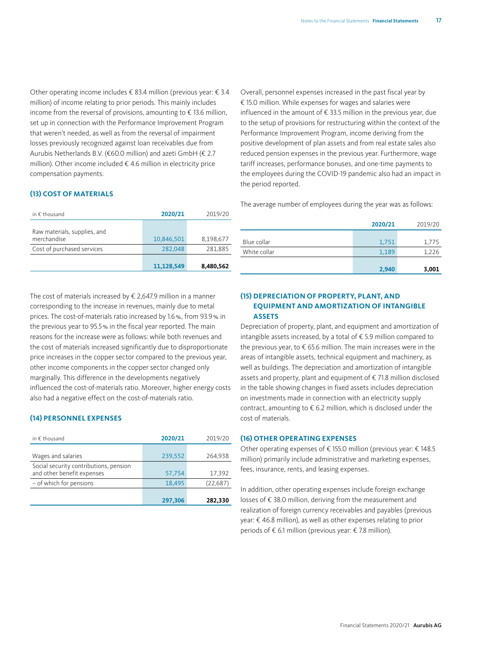Other operating income includes € 83.4 million (previous year: € 3.4 million) of income relating to prior periods. This mainly includes income from the reversal of provisions, amounting to  $\epsilon$  13.6 million, set up in connection with the Performance Improvement Program that weren't needed, as well as from the reversal of impairment losses previously recognized against loan receivables due from Aurubis Netherlands B.V. (€60.0 million) and azeti GmbH (€ 2.7 million). Other income included  $\epsilon$  4.6 million in electricity price compensation payments.

#### **(13) COST OF MATERIALS**

| in $\epsilon$ thousand                      | 2020/21    | 2019/20   |
|---------------------------------------------|------------|-----------|
| Raw materials, supplies, and<br>merchandise | 10.846.501 | 8,198,677 |
| Cost of purchased services                  | 282,048    | 281,885   |
|                                             | 11.128.549 | 8,480,562 |

The cost of materials increased by  $\epsilon$  2,647.9 million in a manner corresponding to the increase in revenues, mainly due to metal prices. The cost-of-materials ratio increased by 1.6%, from 93.9% in the previous year to 95.5% in the fiscal year reported. The main reasons for the increase were as follows: while both revenues and the cost of materials increased significantly due to disproportionate price increases in the copper sector compared to the previous year, other income components in the copper sector changed only marginally. This difference in the developments negatively influenced the cost-of-materials ratio. Moreover, higher energy costs also had a negative effect on the cost-of-materials ratio.

#### **(14) PERSONNEL EXPENSES**

| in $\epsilon$ thousand                                               | 2020/21 | 2019/20   |
|----------------------------------------------------------------------|---------|-----------|
| Wages and salaries                                                   | 239,552 | 264,938   |
| Social security contributions, pension<br>and other benefit expenses | 57,754  | 17,392    |
| - of which for pensions                                              | 18,495  | (22, 687) |
|                                                                      | 297,306 | 282,330   |

Overall, personnel expenses increased in the past fiscal year by € 15.0 million. While expenses for wages and salaries were influenced in the amount of € 33.5 million in the previous year, due to the setup of provisions for restructuring within the context of the Performance Improvement Program, income deriving from the positive development of plan assets and from real estate sales also reduced pension expenses in the previous year. Furthermore, wage tariff increases, performance bonuses, and one-time payments to the employees during the COVID-19 pandemic also had an impact in the period reported.

The average number of employees during the year was as follows:

|              | 2020/21 | 2019/20 |
|--------------|---------|---------|
|              |         |         |
| Blue collar  | 1,751   | 1,775   |
| White collar | 1,189   | 1,226   |
|              |         |         |
|              | 2,940   | 3,001   |

#### **(15) DEPRECIATION OF PROPERTY, PLANT, AND EQUIPMENT AND AMORTIZATION OF INTANGIBLE ASSETS**

Depreciation of property, plant, and equipment and amortization of intangible assets increased, by a total of € 5.9 million compared to the previous year, to  $\epsilon$  65.6 million. The main increases were in the areas of intangible assets, technical equipment and machinery, as well as buildings. The depreciation and amortization of intangible assets and property, plant and equipment of € 71.8 million disclosed in the table showing changes in fixed assets includes depreciation on investments made in connection with an electricity supply contract, amounting to  $\epsilon$  6.2 million, which is disclosed under the cost of materials.

#### **(16) OTHER OPERATING EXPENSES**

Other operating expenses of € 155.0 million (previous year: € 148.5 million) primarily include administrative and marketing expenses, fees, insurance, rents, and leasing expenses.

In addition, other operating expenses include foreign exchange losses of € 38.0 million, deriving from the measurement and realization of foreign currency receivables and payables (previous year: € 46.8 million), as well as other expenses relating to prior periods of € 6.1 million (previous year: € 7.8 million).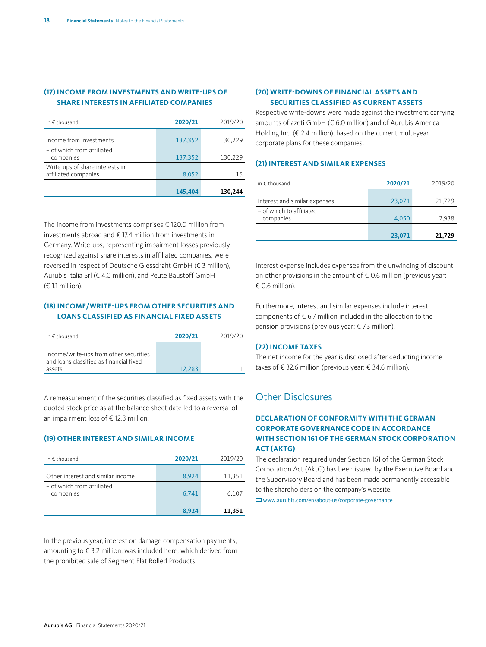#### <span id="page-17-0"></span>**(17) INCOME FROM INVESTMENTS AND WRITE-UPS OF SHARE INTERESTS IN AFFILIATED COMPANIES**

| in $\epsilon$ thousand                                  | 2020/21 | 2019/20 |
|---------------------------------------------------------|---------|---------|
| Income from investments                                 | 137,352 | 130,229 |
| - of which from affiliated<br>companies                 | 137,352 | 130,229 |
| Write-ups of share interests in<br>affiliated companies | 8,052   | 15      |
|                                                         | 145,404 | 130,244 |

The income from investments comprises € 120.0 million from investments abroad and € 17.4 million from investments in Germany. Write-ups, representing impairment losses previously recognized against share interests in affiliated companies, were reversed in respect of Deutsche Giessdraht GmbH (€ 3 million), Aurubis Italia Srl (€ 4.0 million), and Peute Baustoff GmbH (€ 1.1 million).

#### **(18) INCOME/WRITE-UPS FROM OTHER SECURITIES AND LOANS CLASSIFIED AS FINANCIAL FIXED ASSETS**

| in $\epsilon$ thousand                                                                      | 2020/21 | 2019/20 |
|---------------------------------------------------------------------------------------------|---------|---------|
| Income/write-ups from other securities<br>and loans classified as financial fixed<br>assets | 12.283  |         |

A remeasurement of the securities classified as fixed assets with the quoted stock price as at the balance sheet date led to a reversal of an impairment loss of € 12.3 million.

#### **(19) OTHER INTEREST AND SIMILAR INCOME**

| in $\epsilon$ thousand                  | 2020/21 | 2019/20 |
|-----------------------------------------|---------|---------|
| Other interest and similar income       | 8,924   | 11,351  |
| - of which from affiliated<br>companies | 6,741   | 6,107   |
|                                         | 8.924   | 11,351  |

In the previous year, interest on damage compensation payments, amounting to € 3.2 million, was included here, which derived from the prohibited sale of Segment Flat Rolled Products.

#### **(20) WRITE-DOWNS OF FINANCIAL ASSETS AND SECURITIES CLASSIFIED AS CURRENT ASSETS**

Respective write-downs were made against the investment carrying amounts of azeti GmbH (€ 6.0 million) and of Aurubis America Holding Inc. (€ 2.4 million), based on the current multi-year corporate plans for these companies.

#### **(21) INTEREST AND SIMILAR EXPENSES**

| in $\epsilon$ thousand        | 2020/21 | 2019/20 |
|-------------------------------|---------|---------|
| Interest and similar expenses | 23,071  | 21.729  |
| - of which to affiliated      |         |         |
| companies                     | 4.050   | 2,938   |
|                               | 23,071  | 21,729  |

Interest expense includes expenses from the unwinding of discount on other provisions in the amount of  $\epsilon$  0.6 million (previous year: € 0.6 million).

Furthermore, interest and similar expenses include interest components of € 6.7 million included in the allocation to the pension provisions (previous year: € 7.3 million).

#### **(22) INCOME TAXES**

The net income for the year is disclosed after deducting income taxes of € 32.6 million (previous year: € 34.6 million).

#### Other Disclosures

#### **DECLARATION OF CONFORMITY WITH THE GERMAN CORPORATE GOVERNANCE CODE IN ACCORDANCE WITH SECTION 161 OF THE GERMAN STOCK CORPORATION ACT (AKTG)**

The declaration required under Section 161 of the German Stock Corporation Act (AktG) has been issued by the Executive Board and the Supervisory Board and has been made permanently accessible to the shareholders on the company's website.

[www.aurubis.com/en/about-us/corporate-governance](http://www.aurubis.com/en/about-us/corporate-governance)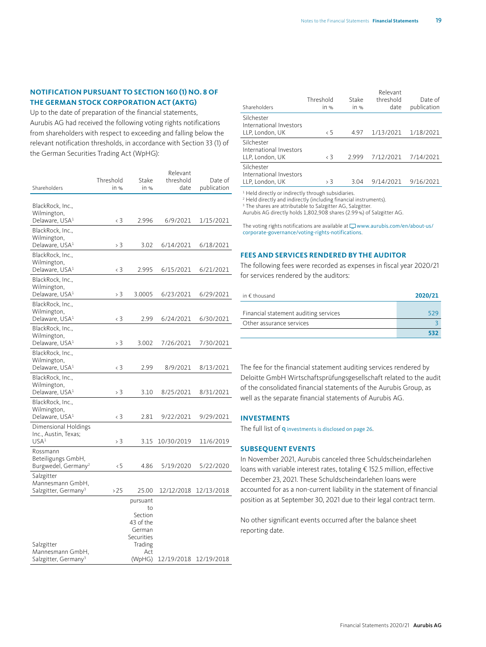#### **NOTIFICATION PURSUANT TO SECTION 160 (1) NO. 8 OF THE GERMAN STOCK CORPORATION ACT (AKTG)**

Up to the date of preparation of the financial statements, Aurubis AG had received the following voting rights notifications from shareholders with respect to exceeding and falling below the relevant notification thresholds, in accordance with Section 33 (1) of the German Securities Trading Act (WpHG):

| Shareholders                                         | Threshold<br>in % | Stake<br>in %         | Relevant<br>threshold<br>date | Date of<br>publication |
|------------------------------------------------------|-------------------|-----------------------|-------------------------------|------------------------|
|                                                      |                   |                       |                               |                        |
| BlackRock, Inc.,                                     |                   |                       |                               |                        |
| Wilmington,<br>Delaware, USA <sup>1</sup>            | < 3               | 2.996                 | 6/9/2021                      | 1/15/2021              |
| BlackRock, Inc.,                                     |                   |                       |                               |                        |
| Wilmington,                                          |                   |                       |                               |                        |
| Delaware, USA <sup>1</sup>                           | > 3               | 3.02                  | 6/14/2021                     | 6/18/2021              |
| BlackRock, Inc.,<br>Wilmington,                      |                   |                       |                               |                        |
| Delaware, USA <sup>1</sup>                           | < 3               | 2.995                 | 6/15/2021                     | 6/21/2021              |
| BlackRock, Inc.,                                     |                   |                       |                               |                        |
| Wilmington,<br>Delaware, USA <sup>1</sup>            | > 3               | 3.0005                | 6/23/2021                     | 6/29/2021              |
| BlackRock, Inc.,                                     |                   |                       |                               |                        |
| Wilmington,                                          |                   |                       |                               |                        |
| Delaware, USA <sup>1</sup>                           | $\langle 3$       | 2.99                  | 6/24/2021                     | 6/30/2021              |
| BlackRock, Inc.,<br>Wilmington,                      |                   |                       |                               |                        |
| Delaware, USA <sup>1</sup>                           | > 3               | 3.002                 | 7/26/2021                     | 7/30/2021              |
| BlackRock, Inc.,                                     |                   |                       |                               |                        |
| Wilmington,<br>Delaware, USA <sup>1</sup>            | < 3               | 2.99                  | 8/9/2021                      | 8/13/2021              |
| BlackRock, Inc.,                                     |                   |                       |                               |                        |
| Wilmington,                                          |                   |                       |                               |                        |
| Delaware, USA <sup>1</sup>                           | > 3               | 3.10                  | 8/25/2021                     | 8/31/2021              |
| BlackRock, Inc.,<br>Wilmington,                      |                   |                       |                               |                        |
| Delaware, USA <sup>1</sup>                           | < 3               | 2.81                  | 9/22/2021                     | 9/29/2021              |
| Dimensional Holdings                                 |                   |                       |                               |                        |
| Inc., Austin, Texas;<br>USA <sup>1</sup>             |                   |                       |                               |                        |
| Rossmann                                             | > 3               | 3.15                  | 10/30/2019                    | 11/6/2019              |
| Beteiligungs GmbH,                                   |                   |                       |                               |                        |
| Burgwedel, Germany <sup>2</sup>                      | 5                 | 4.86                  | 5/19/2020                     | 5/22/2020              |
| Salzgitter                                           |                   |                       |                               |                        |
| Mannesmann GmbH,<br>Salzgitter, Germany <sup>3</sup> | >25               | 25.00                 | 12/12/2018                    | 12/13/2018             |
|                                                      |                   | pursuant              |                               |                        |
|                                                      |                   | to                    |                               |                        |
|                                                      |                   | Section<br>43 of the  |                               |                        |
|                                                      |                   | German                |                               |                        |
| Salzgitter                                           |                   | Securities<br>Trading |                               |                        |
| Mannesmann GmbH,                                     |                   | Act                   |                               |                        |
| Salzgitter, Germany <sup>3</sup>                     |                   | (WpHG)                | 12/19/2018                    | 12/19/2018             |

| Shareholders                                             | Threshold<br>$in \%$ | Stake<br>in % | Relevant<br>threshold<br>date | Date of<br>publication |
|----------------------------------------------------------|----------------------|---------------|-------------------------------|------------------------|
| Silchester<br>International Investors<br>LLP, London, UK | $\langle 5$          | 497           | 1/13/2021                     | 1/18/2021              |
| Silchester<br>International Investors<br>LLP, London, UK | $\langle$ 3          | 2999          | 7/12/2021                     | 7/14/2021              |
| Silchester<br>International Investors<br>LLP, London, UK | > 3                  | 3.04          | 9/14/2021                     | 9/16/2021              |

<sup>1</sup> Held directly or indirectly through subsidiaries.

2 Held directly and indirectly (including financial instruments).

<sup>3</sup> The shares are attributable to Salzgitter AG, Salzgitter. Aurubis AG directly holds 1,802,908 shares (2.99%) of Salzgitter AG.

The voting rights notifications are available at  $\Box$  www.aurubis.com/en/about-us/ [corporate-governance/voting-rights-notifications](http://www.aurubis.com/en/about-us/corporate-governance/voting-rights-notifications).

#### **FEES AND SERVICES RENDERED BY THE AUDITOR**

The following fees were recorded as expenses in fiscal year 2020/21 for services rendered by the auditors:

| in € thousand                         | 2020/21 |
|---------------------------------------|---------|
| Financial statement auditing services | 529     |
| Other assurance services              |         |
|                                       |         |

The fee for the financial statement auditing services rendered by Deloitte GmbH Wirtschaftsprüfungsgesellschaft related to the audit of the consolidated financial statements of the Aurubis Group, as well as the separate financial statements of Aurubis AG.

#### **INVESTMENTS**

The full list of **Q** [investments is disclosed on page 26](#page-25-0).

#### **SUBSEQUENT EVENTS**

In November 2021, Aurubis canceled three Schuldscheindarlehen loans with variable interest rates, totaling € 152.5 million, effective December 23, 2021. These Schuldscheindarlehen loans were accounted for as a non-current liability in the statement of financial position as at September 30, 2021 due to their legal contract term.

No other significant events occurred after the balance sheet reporting date.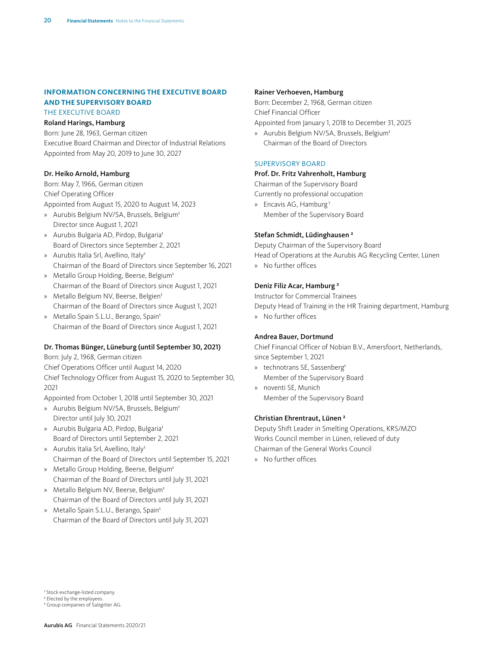#### **INFORMATION CONCERNING THE EXECUTIVE BOARD AND THE SUPERVISORY BOARD** THE EXECUTIVE BOARD

#### Roland Harings, Hamburg

Born: June 28, 1963, German citizen Executive Board Chairman and Director of Industrial Relations Appointed from May 20, 2019 to June 30, 2027

#### Dr. Heiko Arnold, Hamburg

Born: May 7, 1966, German citizen Chief Operating Officer Appointed from August 15, 2020 to August 14, 2023

- » Aurubis Belgium NV/SA, Brussels, Belgium<sup>1</sup> Director since August 1, 2021
- » Aurubis Bulgaria AD, Pirdop, Bulgaria1 Board of Directors since September 2, 2021
- » Aurubis Italia Srl, Avellino, Italy<sup>1</sup> Chairman of the Board of Directors since September 16, 2021
- » Metallo Group Holding, Beerse, Belgium<sup>1</sup> Chairman of the Board of Directors since August 1, 2021
- » Metallo Belgium NV, Beerse, Belgien<sup>1</sup> Chairman of the Board of Directors since August 1, 2021
- » Metallo Spain S.L.U., Berango, Spain<sup>1</sup> Chairman of the Board of Directors since August 1, 2021

#### Dr. Thomas Bünger, Lüneburg (until September 30, 2021)

Born: July 2, 1968, German citizen Chief Operations Officer until August 14, 2020

Chief Technology Officer from August 15, 2020 to September 30, 2021

Appointed from October 1, 2018 until September 30, 2021

- » Aurubis Belgium NV/SA, Brussels, Belgium<sup>1</sup> Director until July 30, 2021
- » Aurubis Bulgaria AD, Pirdop, Bulgaria<sup>1</sup> Board of Directors until September 2, 2021
- » Aurubis Italia Srl, Avellino, Italy<sup>1</sup> Chairman of the Board of Directors until September 15, 2021
- » Metallo Group Holding, Beerse, Belgium<sup>1</sup> Chairman of the Board of Directors until July 31, 2021
- » Metallo Belgium NV, Beerse, Belgium<sup>1</sup> Chairman of the Board of Directors until July 31, 2021
- » Metallo Spain S.L.U., Berango, Spain<sup>1</sup> Chairman of the Board of Directors until July 31, 2021

#### Rainer Verhoeven, Hamburg

Born: December 2, 1968, German citizen Chief Financial Officer

Appointed from January 1, 2018 to December 31, 2025

» Aurubis Belgium NV/SA, Brussels, Belgium<sup>1</sup> Chairman of the Board of Directors

#### SUPERVISORY BOARD

#### Prof. Dr. Fritz Vahrenholt, Hamburg

Chairman of the Supervisory Board Currently no professional occupation

» Encavis AG, Hamburg<sup>1</sup> Member of the Supervisory Board

#### Stefan Schmidt, Lüdinghausen 2

Deputy Chairman of the Supervisory Board Head of Operations at the Aurubis AG Recycling Center, Lünen » No further offices

#### Deniz Filiz Acar, Hamburg 2

Instructor for Commercial Trainees Deputy Head of Training in the HR Training department, Hamburg » No further offices

#### Andrea Bauer, Dortmund

Chief Financial Officer of Nobian B.V., Amersfoort, Netherlands, since September 1, 2021

- » technotrans SE, Sassenberg1 Member of the Supervisory Board
- » noventi SE, Munich Member of the Supervisory Board

#### Christian Ehrentraut, Lünen 2

Deputy Shift Leader in Smelting Operations, KRS/MZO Works Council member in Lünen, relieved of duty Chairman of the General Works Council

» No further offices

<sup>1</sup> Stock exchange-listed company.

<sup>2</sup> Elected by the employees.

<sup>3</sup> Group companies of Salzgitter AG.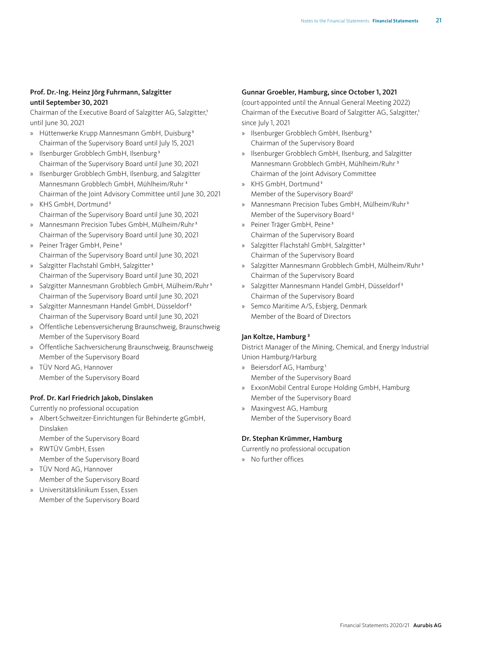#### Prof. Dr.-Ing. Heinz Jörg Fuhrmann, Salzgitter until September 30, 2021

Chairman of the Executive Board of Salzgitter AG, Salzgitter,<sup>1</sup> until June 30, 2021

- » Hüttenwerke Krupp Mannesmann GmbH, Duisburg 3 Chairman of the Supervisory Board until July 15, 2021
- » Ilsenburger Grobblech GmbH, Ilsenburg 3 Chairman of the Supervisory Board until June 30, 2021
- » Ilsenburger Grobblech GmbH, Ilsenburg, and Salzgitter Mannesmann Grobblech GmbH, Mühlheim/Ruhr 3 Chairman of the Joint Advisory Committee until June 30, 2021
- » KHS GmbH, Dortmund3 Chairman of the Supervisory Board until June 30, 2021
- » Mannesmann Precision Tubes GmbH, Mülheim/Ruhr<sup>3</sup> Chairman of the Supervisory Board until June 30, 2021
- » Peiner Träger GmbH, Peine 3 Chairman of the Supervisory Board until June 30, 2021
- » Salzgitter Flachstahl GmbH, Salzgitter<sup>3</sup> Chairman of the Supervisory Board until June 30, 2021
- » Salzgitter Mannesmann Grobblech GmbH, Mülheim/Ruhr3 Chairman of the Supervisory Board until June 30, 2021
- » Salzgitter Mannesmann Handel GmbH, Düsseldorf3 Chairman of the Supervisory Board until June 30, 2021
- » Öffentliche Lebensversicherung Braunschweig, Braunschweig Member of the Supervisory Board
- » Öffentliche Sachversicherung Braunschweig, Braunschweig Member of the Supervisory Board
- » TÜV Nord AG, Hannover Member of the Supervisory Board

#### Prof. Dr. Karl Friedrich Jakob, Dinslaken

Currently no professional occupation

- » Albert-Schweitzer-Einrichtungen für Behinderte gGmbH, Dinslaken
	- Member of the Supervisory Board
- » RWTÜV GmbH, Essen Member of the Supervisory Board
- » TÜV Nord AG, Hannover Member of the Supervisory Board
- » Universitätsklinikum Essen, Essen Member of the Supervisory Board

#### Gunnar Groebler, Hamburg, since October 1, 2021

(court-appointed until the Annual General Meeting 2022) Chairman of the Executive Board of Salzgitter AG, Salzgitter,<sup>1</sup> since July 1, 2021

- » Ilsenburger Grobblech GmbH, Ilsenburg 3 Chairman of the Supervisory Board
- » Ilsenburger Grobblech GmbH, Ilsenburg, and Salzgitter Mannesmann Grobblech GmbH, Mühlheim/Ruhr 3 Chairman of the Joint Advisory Committee
- » KHS GmbH, Dortmund3 Member of the Supervisory Board<sup>2</sup>
- » Mannesmann Precision Tubes GmbH, Mülheim/Ruhr<sup>3</sup> Member of the Supervisory Board<sup>2</sup>
- » Peiner Träger GmbH, Peine 3 Chairman of the Supervisory Board
- » Salzgitter Flachstahl GmbH, Salzgitter<sup>3</sup> Chairman of the Supervisory Board
- » Salzgitter Mannesmann Grobblech GmbH, Mülheim/Ruhr<sup>3</sup> Chairman of the Supervisory Board
- » Salzgitter Mannesmann Handel GmbH, Düsseldorf3 Chairman of the Supervisory Board
- » Semco Maritime A/S, Esbjerg, Denmark Member of the Board of Directors

#### Jan Koltze, Hamburg 2

District Manager of the Mining, Chemical, and Energy Industrial Union Hamburg/Harburg

- » Beiersdorf AG, Hamburg 1 Member of the Supervisory Board
- » ExxonMobil Central Europe Holding GmbH, Hamburg Member of the Supervisory Board
- » Maxingvest AG, Hamburg Member of the Supervisory Board

#### Dr. Stephan Krümmer, Hamburg

Currently no professional occupation

» No further offices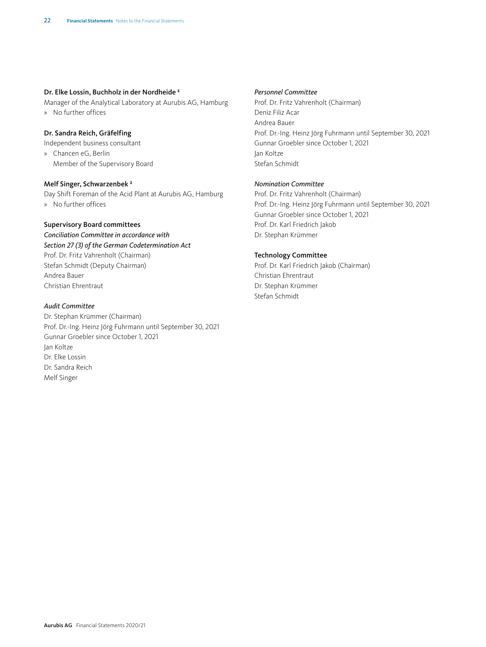#### Dr. Elke Lossin, Buchholz in der Nordheide 2

Manager of the Analytical Laboratory at Aurubis AG, Hamburg » No further offices

#### Dr. Sandra Reich, Gräfelfing

Independent business consultant

» Chancen eG, Berlin Member of the Supervisory Board

#### Melf Singer, Schwarzenbek 2

Day Shift Foreman of the Acid Plant at Aurubis AG, Hamburg » No further offices

#### Supervisory Board committees

*Conciliation Committee in accordance with Section 27 (3) of the German Codetermination Act* Prof. Dr. Fritz Vahrenholt (Chairman) Stefan Schmidt (Deputy Chairman) Andrea Bauer Christian Ehrentraut

#### *Audit Committee*

Dr. Stephan Krümmer (Chairman) Prof. Dr.-Ing. Heinz Jörg Fuhrmann until September 30, 2021 Gunnar Groebler since October 1, 2021 Jan Koltze Dr. Elke Lossin Dr. Sandra Reich Melf Singer

#### *Personnel Committee*

Prof. Dr. Fritz Vahrenholt (Chairman) Deniz Filiz Acar Andrea Bauer Prof. Dr.-Ing. Heinz Jörg Fuhrmann until September 30, 2021 Gunnar Groebler since October 1, 2021 Jan Koltze Stefan Schmidt

#### *Nomination Committee*

Prof. Dr. Fritz Vahrenholt (Chairman) Prof. Dr.-Ing. Heinz Jörg Fuhrmann until September 30, 2021 Gunnar Groebler since October 1, 2021 Prof. Dr. Karl Friedrich Jakob Dr. Stephan Krümmer

#### Technology Committee

Prof. Dr. Karl Friedrich Jakob (Chairman) Christian Ehrentraut Dr. Stephan Krümmer Stefan Schmidt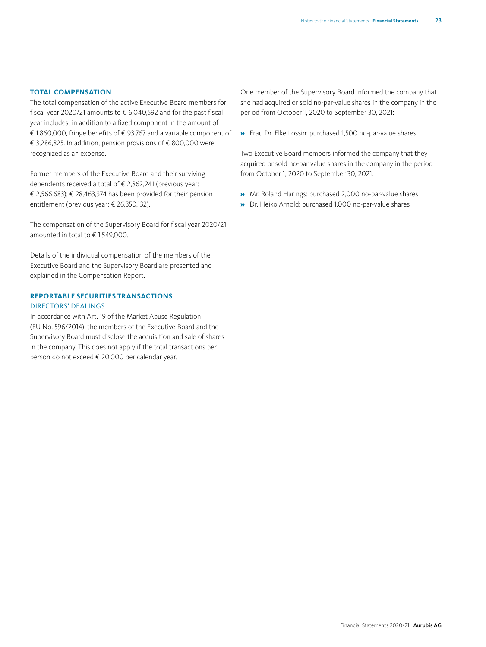#### **TOTAL COMPENSATION**

The total compensation of the active Executive Board members for fiscal year 2020/21 amounts to  $\epsilon$  6.040.592 and for the past fiscal year includes, in addition to a fixed component in the amount of € 1,860,000, fringe benefits of € 93,767 and a variable component of € 3,286,825. In addition, pension provisions of € 800,000 were recognized as an expense.

Former members of the Executive Board and their surviving dependents received a total of € 2,862,241 (previous year: € 2,566,683); € 28,463,374 has been provided for their pension entitlement (previous year: € 26,350,132).

The compensation of the Supervisory Board for fiscal year 2020/21 amounted in total to € 1,549,000.

Details of the individual compensation of the members of the Executive Board and the Supervisory Board are presented and explained in the Compensation Report.

#### **REPORTABLE SECURITIES TRANSACTIONS** DIRECTORS' DEALINGS

In accordance with Art. 19 of the Market Abuse Regulation (EU No. 596/2014), the members of the Executive Board and the Supervisory Board must disclose the acquisition and sale of shares in the company. This does not apply if the total transactions per person do not exceed € 20,000 per calendar year.

One member of the Supervisory Board informed the company that she had acquired or sold no-par-value shares in the company in the period from October 1, 2020 to September 30, 2021:

» Frau Dr. Elke Lossin: purchased 1,500 no-par-value shares

Two Executive Board members informed the company that they acquired or sold no-par value shares in the company in the period from October 1, 2020 to September 30, 2021.

- » Mr. Roland Harings: purchased 2,000 no-par-value shares
- » Dr. Heiko Arnold: purchased 1,000 no-par-value shares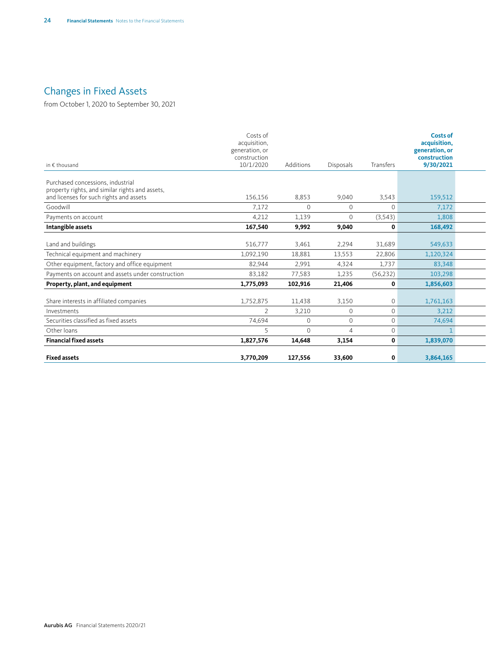### <span id="page-23-0"></span>Changes in Fixed Assets

from October 1, 2020 to September 30, 2021

| in $\epsilon$ thousand                                                               | Costs of<br>acquisition,<br>generation, or<br>construction<br>10/1/2020 | Additions      | Disposals      | Transfers      | <b>Costs of</b><br>acquisition,<br>generation, or<br>construction<br>9/30/2021 |  |
|--------------------------------------------------------------------------------------|-------------------------------------------------------------------------|----------------|----------------|----------------|--------------------------------------------------------------------------------|--|
| Purchased concessions, industrial<br>property rights, and similar rights and assets, |                                                                         |                |                |                |                                                                                |  |
| and licenses for such rights and assets                                              | 156,156                                                                 | 8,853          | 9,040          | 3,543          | 159,512                                                                        |  |
| Goodwill                                                                             | 7,172                                                                   | $\overline{0}$ | $\overline{0}$ | $\Omega$       | 7,172                                                                          |  |
| Payments on account                                                                  | 4,212                                                                   | 1,139          | $\overline{0}$ | (3,543)        | 1,808                                                                          |  |
| Intangible assets                                                                    | 167,540                                                                 | 9,992          | 9,040          | $\mathbf{0}$   | 168,492                                                                        |  |
| Land and buildings                                                                   | 516,777                                                                 | 3,461          | 2,294          | 31,689         | 549,633                                                                        |  |
| Technical equipment and machinery                                                    | 1,092,190                                                               | 18,881         | 13,553         | 22,806         | 1,120,324                                                                      |  |
| Other equipment, factory and office equipment                                        | 82,944                                                                  | 2,991          | 4,324          | 1,737          | 83,348                                                                         |  |
| Payments on account and assets under construction                                    | 83,182                                                                  | 77,583         | 1,235          | (56, 232)      | 103,298                                                                        |  |
| Property, plant, and equipment                                                       | 1,775,093                                                               | 102,916        | 21,406         | $\mathbf{0}$   | 1,856,603                                                                      |  |
| Share interests in affiliated companies                                              | 1,752,875                                                               | 11,438         | 3,150          | $\overline{0}$ | 1,761,163                                                                      |  |
| Investments                                                                          |                                                                         | 3,210          | $\overline{0}$ | $\Omega$       | 3,212                                                                          |  |
| Securities classified as fixed assets                                                | 74,694                                                                  | $\overline{0}$ | $\overline{0}$ | $\overline{0}$ | 74,694                                                                         |  |
| Other loans                                                                          |                                                                         | $\Omega$       | $\overline{4}$ | $\overline{0}$ |                                                                                |  |
| <b>Financial fixed assets</b>                                                        | 1,827,576                                                               | 14,648         | 3,154          | $\mathbf{0}$   | 1,839,070                                                                      |  |
| <b>Fixed assets</b>                                                                  | 3,770,209                                                               | 127,556        | 33,600         | $\mathbf{0}$   | 3,864,165                                                                      |  |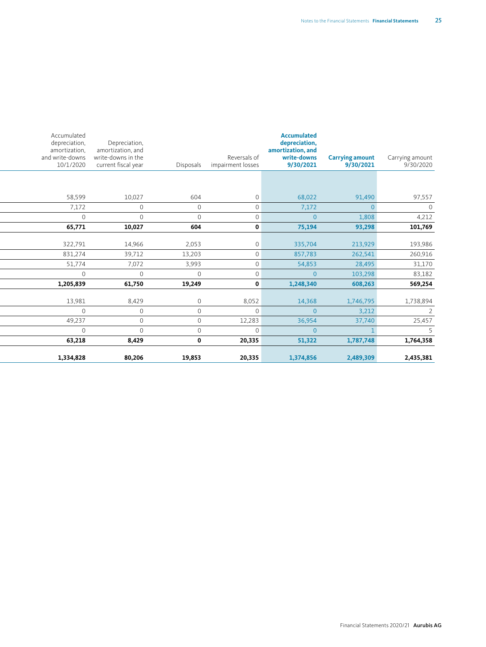| Carrying amount<br>9/30/2020 | <b>Carrying amount</b><br>9/30/2021 | <b>Accumulated</b><br>depreciation,<br>amortization, and<br>write-downs<br>9/30/2021 | Reversals of<br>impairment losses | Disposals      | Depreciation,<br>amortization, and<br>write-downs in the<br>current fiscal year | Accumulated<br>depreciation,<br>amortization,<br>and write-downs<br>10/1/2020 |
|------------------------------|-------------------------------------|--------------------------------------------------------------------------------------|-----------------------------------|----------------|---------------------------------------------------------------------------------|-------------------------------------------------------------------------------|
|                              |                                     |                                                                                      |                                   |                |                                                                                 |                                                                               |
| 97,557                       | 91,490                              | 68,022                                                                               | $\mathbf{0}$                      | 604            | 10,027                                                                          | 58,599                                                                        |
| $\overline{0}$               |                                     | 7,172                                                                                | $\Omega$                          | $\overline{0}$ | $\Omega$                                                                        | 7,172                                                                         |
| 4,212                        | 1,808                               | $\overline{0}$                                                                       | $\Omega$                          | $\overline{0}$ | $\Omega$                                                                        | $\Omega$                                                                      |
| 101,769                      | 93,298                              | 75,194                                                                               | $\mathbf 0$                       | 604            | 10,027                                                                          | 65,771                                                                        |
| 193,986                      | 213,929                             | 335,704                                                                              | $\overline{0}$                    | 2,053          | 14,966                                                                          | 322,791                                                                       |
| 260,916                      | 262,541                             | 857,783                                                                              | $\overline{0}$                    | 13,203         | 39,712                                                                          | 831,274                                                                       |
| 31,170                       | 28,495                              | 54,853                                                                               | $\mathbf{0}$                      | 3,993          | 7,072                                                                           | 51,774                                                                        |
| 83,182                       | 103,298                             | $\overline{0}$                                                                       | $\mathbf{0}$                      | $\overline{0}$ | $\overline{0}$                                                                  | $\overline{0}$                                                                |
| 569,254                      | 608,263                             | 1,248,340                                                                            | $\mathbf 0$                       | 19,249         | 61,750                                                                          | 1,205,839                                                                     |
| 1,738,894                    | 1,746,795                           | 14,368                                                                               | 8,052                             | $\circ$        | 8,429                                                                           | 13,981                                                                        |
| $\overline{2}$               | 3,212                               | $\overline{0}$                                                                       | $\overline{0}$                    | $\overline{0}$ | $\overline{0}$                                                                  | $\overline{0}$                                                                |
| 25,457                       | 37,740                              | 36,954                                                                               | 12,283                            | $\overline{0}$ | $\Omega$                                                                        | 49,237                                                                        |
| $5 -$                        |                                     | $\overline{0}$                                                                       | $\mathbf{0}$                      | $\overline{0}$ | $\Omega$                                                                        | $\Omega$                                                                      |
| 1,764,358                    | 1,787,748                           | 51,322                                                                               | 20,335                            | $\mathbf 0$    | 8,429                                                                           | 63,218                                                                        |
| 2,435,381                    | 2,489,309                           | 1,374,856                                                                            | 20,335                            | 19,853         | 80,206                                                                          | 1,334,828                                                                     |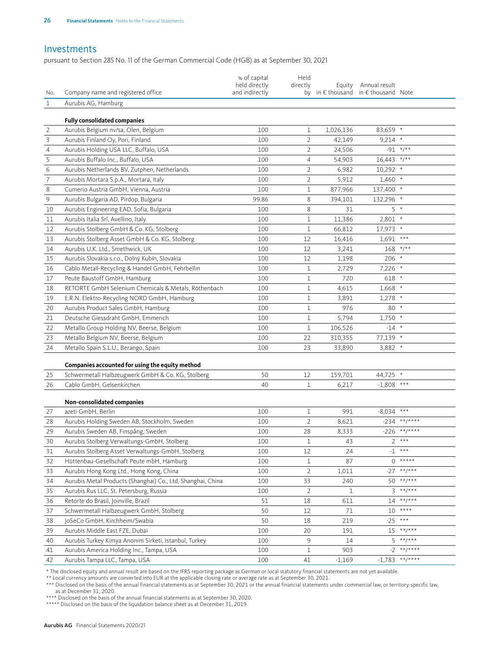#### <span id="page-25-0"></span>Investments

pursuant to Section 285 No. 11 of the German Commercial Code (HGB) as at September 30, 2021

| Aurubis AG, Hamburg<br>$\mathbf{1}$<br><b>Fully consolidated companies</b><br>$\overline{2}$<br>Aurubis Belgium nv/sa, Olen, Belgium<br>100<br>83,659 *<br>1<br>1,026,136<br>$\mathsf 3$<br>Aurubis Finland Oy, Pori, Finland<br>100<br>$\overline{2}$<br>$9,214$ *<br>42,149<br>$\sqrt{4}$<br>$\overline{2}$<br>$-91$ */**<br>Aurubis Holding USA LLC, Buffalo, USA<br>100<br>24,506<br>5<br>$16,443$ */**<br>Aurubis Buffalo Inc., Buffalo, USA<br>4<br>100<br>54,903<br>$\epsilon$<br>Aurubis Netherlands BV, Zutphen, Netherlands<br>100<br>$\overline{2}$<br>6,982<br>$10,292$ *<br>$\overline{\phantom{a}}$<br>$\overline{2}$<br>100<br>5,912<br>$1,460$ *<br>Aurubis Mortara S.p.A., Mortara, Italy<br>$\,8\,$<br>Cumerio Austria GmbH, Vienna, Austria<br>100<br>$\mathbf 1$<br>877,966<br>137,400 *<br>$\mathsf 9$<br>99.86<br>8<br>394,101<br>132,296 *<br>Aurubis Bulgaria AD, Pirdop, Bulgaria<br>10<br>Aurubis Engineering EAD, Sofia, Bulgaria<br>100<br>8<br>31<br>5 *<br>11<br>100<br>$\mathbf 1$<br>11,386<br>$2,801$ *<br>Aurubis Italia Srl, Avellino, Italy<br>Aurubis Stolberg GmbH & Co. KG, Stolberg<br>100<br>66,812<br>17,973 *<br>12<br>1<br>$1,691$ ***<br>100<br>12<br>13<br>Aurubis Stolberg Asset GmbH & Co. KG, Stolberg<br>16,416<br>$168$ */**<br>14<br>Aurubis U.K. Ltd., Smethwick, UK<br>100<br>12<br>3,241<br>$206 *$<br>Aurubis Slovakia s.r.o., Dolný Kubín, Slovakia<br>100<br>12<br>1,198<br>15<br>Cablo Metall-Recycling & Handel GmbH, Fehrbellin<br>$\mathbf 1$<br>2,729<br>$7,226$ *<br>16<br>100<br>Peute Baustoff GmbH, Hamburg<br>100<br>$\mathbf 1$<br>720<br>$618 *$<br>17<br>RETORTE GmbH Selenium Chemicals & Metals, Röthenbach<br>100<br>4,615<br>$1,668$ *<br>18<br>1<br>19<br>E.R.N. Elektro-Recycling NORD GmbH, Hamburg<br>100<br>3,891<br>$1,278$ *<br>1<br>$80 *$<br>20<br>100<br>976<br>Aurubis Product Sales GmbH, Hamburg<br>1<br>$1,750$ *<br>21<br>Deutsche Giessdraht GmbH, Emmerich<br>100<br>$\mathbf 1$<br>5,794<br>$-14$ *<br>22<br>100<br>$\mathbf 1$<br>106,526<br>Metallo Group Holding NV, Beerse, Belgium<br>77,139 *<br>23<br>Metallo Belgium NV, Beerse, Belgium<br>100<br>22<br>310,355<br>23<br>33,890<br>3,882 *<br>24<br>Metallo Spain S.L.U., Berango, Spain<br>100<br>Companies accounted for using the equity method<br>44,725 *<br>25<br>Schwermetall Halbzeugwerk GmbH & Co. KG, Stolberg<br>50<br>12<br>159,701<br>$-1,808$ ***<br>26<br>Cablo GmbH, Gelsenkirchen<br>40<br>1<br>6,217<br>Non-consolidated companies<br>$-8,034$ ***<br>azeti GmbH, Berlin<br>100<br>991<br>27<br>1<br>$-234$ **/****<br>$\overline{2}$<br>28<br>Aurubis Holding Sweden AB, Stockholm, Sweden<br>100<br>8,621<br>$-226$ **/****<br>29<br>Aurubis Sweden AB, Finspång, Sweden<br>100<br>28<br>8,333<br>Aurubis Stolberg Verwaltungs-GmbH, Stolberg<br>$2***$<br>$\mathbf 1$<br>43<br>30<br>100<br>Aurubis Stolberg Asset Verwaltungs-GmbH, Stolberg<br>12<br>$***$<br>100<br>24<br>$-1$<br>31<br>$*****$<br>Hüttenbau-Gesellschaft Peute mbH, Hamburg<br>87<br>32<br>100<br>1<br>0<br>$***$ /***<br>33<br>Aurubis Hong Kong Ltd., Hong Kong, China<br>$\overline{2}$<br>100<br>1,011<br>-27<br>**/***<br>34<br>Aurubis Metal Products (Shanghai) Co., Ltd, Shanghai, China<br>100<br>33<br>240<br>50<br>$***$ /***<br>$\overline{2}$<br>35<br>Aurubis Rus LLC, St. Petersburg, Russia<br>100<br>1<br>3<br>$***$ /***<br>Retorte do Brasil, Joinville, Brazil<br>51<br>18<br>611<br>14<br>36<br>$***$<br>$71\,$<br>37<br>Schwermetall Halbzeugwerk GmbH, Stolberg<br>50<br>12<br>10<br>JoSeCo GmbH, Kirchheim/Swabia<br>$***$<br>38<br>50<br>18<br>219<br>$-25$<br>$***$ /***<br>39<br>Aurubis Middle East FZE, Dubai<br>100<br>20<br>191<br>15<br>$***$ /***<br>9<br>40<br>Aurubis Turkey Kimya Anonim Sirketi, Istanbul, Turkey<br>100<br>14<br>5<br>$***$ /****<br>Aurubis America Holding Inc., Tampa, USA<br>100<br>903<br>41<br>1<br>-2<br>**/****<br>$-1,783$<br>42<br>Aurubis Tampa LLC, Tampa, USA<br>100<br>$-1,169$<br>41 | No. | Company name and registered office | % of capital<br>held directly<br>and indirectly | Held<br>directly | Equity<br>by in € thousand in € thousand Note | Annual result |  |
|-----------------------------------------------------------------------------------------------------------------------------------------------------------------------------------------------------------------------------------------------------------------------------------------------------------------------------------------------------------------------------------------------------------------------------------------------------------------------------------------------------------------------------------------------------------------------------------------------------------------------------------------------------------------------------------------------------------------------------------------------------------------------------------------------------------------------------------------------------------------------------------------------------------------------------------------------------------------------------------------------------------------------------------------------------------------------------------------------------------------------------------------------------------------------------------------------------------------------------------------------------------------------------------------------------------------------------------------------------------------------------------------------------------------------------------------------------------------------------------------------------------------------------------------------------------------------------------------------------------------------------------------------------------------------------------------------------------------------------------------------------------------------------------------------------------------------------------------------------------------------------------------------------------------------------------------------------------------------------------------------------------------------------------------------------------------------------------------------------------------------------------------------------------------------------------------------------------------------------------------------------------------------------------------------------------------------------------------------------------------------------------------------------------------------------------------------------------------------------------------------------------------------------------------------------------------------------------------------------------------------------------------------------------------------------------------------------------------------------------------------------------------------------------------------------------------------------------------------------------------------------------------------------------------------------------------------------------------------------------------------------------------------------------------------------------------------------------------------------------------------------------------------------------------------------------------------------------------------------------------------------------------------------------------------------------------------------------------------------------------------------------------------------------------------------------------------------------------------------------------------------------------------------------------------------------------------------------------------------------------------------------------------------------------------------------------------------------------------------------------------------------------------------------------------------------------------------------------------------------------------------------------------------------------------------------------------------------------------------------------------------------|-----|------------------------------------|-------------------------------------------------|------------------|-----------------------------------------------|---------------|--|
|                                                                                                                                                                                                                                                                                                                                                                                                                                                                                                                                                                                                                                                                                                                                                                                                                                                                                                                                                                                                                                                                                                                                                                                                                                                                                                                                                                                                                                                                                                                                                                                                                                                                                                                                                                                                                                                                                                                                                                                                                                                                                                                                                                                                                                                                                                                                                                                                                                                                                                                                                                                                                                                                                                                                                                                                                                                                                                                                                                                                                                                                                                                                                                                                                                                                                                                                                                                                                                                                                                                                                                                                                                                                                                                                                                                                                                                                                                                                                                                                           |     |                                    |                                                 |                  |                                               |               |  |
|                                                                                                                                                                                                                                                                                                                                                                                                                                                                                                                                                                                                                                                                                                                                                                                                                                                                                                                                                                                                                                                                                                                                                                                                                                                                                                                                                                                                                                                                                                                                                                                                                                                                                                                                                                                                                                                                                                                                                                                                                                                                                                                                                                                                                                                                                                                                                                                                                                                                                                                                                                                                                                                                                                                                                                                                                                                                                                                                                                                                                                                                                                                                                                                                                                                                                                                                                                                                                                                                                                                                                                                                                                                                                                                                                                                                                                                                                                                                                                                                           |     |                                    |                                                 |                  |                                               |               |  |
|                                                                                                                                                                                                                                                                                                                                                                                                                                                                                                                                                                                                                                                                                                                                                                                                                                                                                                                                                                                                                                                                                                                                                                                                                                                                                                                                                                                                                                                                                                                                                                                                                                                                                                                                                                                                                                                                                                                                                                                                                                                                                                                                                                                                                                                                                                                                                                                                                                                                                                                                                                                                                                                                                                                                                                                                                                                                                                                                                                                                                                                                                                                                                                                                                                                                                                                                                                                                                                                                                                                                                                                                                                                                                                                                                                                                                                                                                                                                                                                                           |     |                                    |                                                 |                  |                                               |               |  |
|                                                                                                                                                                                                                                                                                                                                                                                                                                                                                                                                                                                                                                                                                                                                                                                                                                                                                                                                                                                                                                                                                                                                                                                                                                                                                                                                                                                                                                                                                                                                                                                                                                                                                                                                                                                                                                                                                                                                                                                                                                                                                                                                                                                                                                                                                                                                                                                                                                                                                                                                                                                                                                                                                                                                                                                                                                                                                                                                                                                                                                                                                                                                                                                                                                                                                                                                                                                                                                                                                                                                                                                                                                                                                                                                                                                                                                                                                                                                                                                                           |     |                                    |                                                 |                  |                                               |               |  |
|                                                                                                                                                                                                                                                                                                                                                                                                                                                                                                                                                                                                                                                                                                                                                                                                                                                                                                                                                                                                                                                                                                                                                                                                                                                                                                                                                                                                                                                                                                                                                                                                                                                                                                                                                                                                                                                                                                                                                                                                                                                                                                                                                                                                                                                                                                                                                                                                                                                                                                                                                                                                                                                                                                                                                                                                                                                                                                                                                                                                                                                                                                                                                                                                                                                                                                                                                                                                                                                                                                                                                                                                                                                                                                                                                                                                                                                                                                                                                                                                           |     |                                    |                                                 |                  |                                               |               |  |
|                                                                                                                                                                                                                                                                                                                                                                                                                                                                                                                                                                                                                                                                                                                                                                                                                                                                                                                                                                                                                                                                                                                                                                                                                                                                                                                                                                                                                                                                                                                                                                                                                                                                                                                                                                                                                                                                                                                                                                                                                                                                                                                                                                                                                                                                                                                                                                                                                                                                                                                                                                                                                                                                                                                                                                                                                                                                                                                                                                                                                                                                                                                                                                                                                                                                                                                                                                                                                                                                                                                                                                                                                                                                                                                                                                                                                                                                                                                                                                                                           |     |                                    |                                                 |                  |                                               |               |  |
|                                                                                                                                                                                                                                                                                                                                                                                                                                                                                                                                                                                                                                                                                                                                                                                                                                                                                                                                                                                                                                                                                                                                                                                                                                                                                                                                                                                                                                                                                                                                                                                                                                                                                                                                                                                                                                                                                                                                                                                                                                                                                                                                                                                                                                                                                                                                                                                                                                                                                                                                                                                                                                                                                                                                                                                                                                                                                                                                                                                                                                                                                                                                                                                                                                                                                                                                                                                                                                                                                                                                                                                                                                                                                                                                                                                                                                                                                                                                                                                                           |     |                                    |                                                 |                  |                                               |               |  |
|                                                                                                                                                                                                                                                                                                                                                                                                                                                                                                                                                                                                                                                                                                                                                                                                                                                                                                                                                                                                                                                                                                                                                                                                                                                                                                                                                                                                                                                                                                                                                                                                                                                                                                                                                                                                                                                                                                                                                                                                                                                                                                                                                                                                                                                                                                                                                                                                                                                                                                                                                                                                                                                                                                                                                                                                                                                                                                                                                                                                                                                                                                                                                                                                                                                                                                                                                                                                                                                                                                                                                                                                                                                                                                                                                                                                                                                                                                                                                                                                           |     |                                    |                                                 |                  |                                               |               |  |
|                                                                                                                                                                                                                                                                                                                                                                                                                                                                                                                                                                                                                                                                                                                                                                                                                                                                                                                                                                                                                                                                                                                                                                                                                                                                                                                                                                                                                                                                                                                                                                                                                                                                                                                                                                                                                                                                                                                                                                                                                                                                                                                                                                                                                                                                                                                                                                                                                                                                                                                                                                                                                                                                                                                                                                                                                                                                                                                                                                                                                                                                                                                                                                                                                                                                                                                                                                                                                                                                                                                                                                                                                                                                                                                                                                                                                                                                                                                                                                                                           |     |                                    |                                                 |                  |                                               |               |  |
|                                                                                                                                                                                                                                                                                                                                                                                                                                                                                                                                                                                                                                                                                                                                                                                                                                                                                                                                                                                                                                                                                                                                                                                                                                                                                                                                                                                                                                                                                                                                                                                                                                                                                                                                                                                                                                                                                                                                                                                                                                                                                                                                                                                                                                                                                                                                                                                                                                                                                                                                                                                                                                                                                                                                                                                                                                                                                                                                                                                                                                                                                                                                                                                                                                                                                                                                                                                                                                                                                                                                                                                                                                                                                                                                                                                                                                                                                                                                                                                                           |     |                                    |                                                 |                  |                                               |               |  |
|                                                                                                                                                                                                                                                                                                                                                                                                                                                                                                                                                                                                                                                                                                                                                                                                                                                                                                                                                                                                                                                                                                                                                                                                                                                                                                                                                                                                                                                                                                                                                                                                                                                                                                                                                                                                                                                                                                                                                                                                                                                                                                                                                                                                                                                                                                                                                                                                                                                                                                                                                                                                                                                                                                                                                                                                                                                                                                                                                                                                                                                                                                                                                                                                                                                                                                                                                                                                                                                                                                                                                                                                                                                                                                                                                                                                                                                                                                                                                                                                           |     |                                    |                                                 |                  |                                               |               |  |
|                                                                                                                                                                                                                                                                                                                                                                                                                                                                                                                                                                                                                                                                                                                                                                                                                                                                                                                                                                                                                                                                                                                                                                                                                                                                                                                                                                                                                                                                                                                                                                                                                                                                                                                                                                                                                                                                                                                                                                                                                                                                                                                                                                                                                                                                                                                                                                                                                                                                                                                                                                                                                                                                                                                                                                                                                                                                                                                                                                                                                                                                                                                                                                                                                                                                                                                                                                                                                                                                                                                                                                                                                                                                                                                                                                                                                                                                                                                                                                                                           |     |                                    |                                                 |                  |                                               |               |  |
|                                                                                                                                                                                                                                                                                                                                                                                                                                                                                                                                                                                                                                                                                                                                                                                                                                                                                                                                                                                                                                                                                                                                                                                                                                                                                                                                                                                                                                                                                                                                                                                                                                                                                                                                                                                                                                                                                                                                                                                                                                                                                                                                                                                                                                                                                                                                                                                                                                                                                                                                                                                                                                                                                                                                                                                                                                                                                                                                                                                                                                                                                                                                                                                                                                                                                                                                                                                                                                                                                                                                                                                                                                                                                                                                                                                                                                                                                                                                                                                                           |     |                                    |                                                 |                  |                                               |               |  |
|                                                                                                                                                                                                                                                                                                                                                                                                                                                                                                                                                                                                                                                                                                                                                                                                                                                                                                                                                                                                                                                                                                                                                                                                                                                                                                                                                                                                                                                                                                                                                                                                                                                                                                                                                                                                                                                                                                                                                                                                                                                                                                                                                                                                                                                                                                                                                                                                                                                                                                                                                                                                                                                                                                                                                                                                                                                                                                                                                                                                                                                                                                                                                                                                                                                                                                                                                                                                                                                                                                                                                                                                                                                                                                                                                                                                                                                                                                                                                                                                           |     |                                    |                                                 |                  |                                               |               |  |
|                                                                                                                                                                                                                                                                                                                                                                                                                                                                                                                                                                                                                                                                                                                                                                                                                                                                                                                                                                                                                                                                                                                                                                                                                                                                                                                                                                                                                                                                                                                                                                                                                                                                                                                                                                                                                                                                                                                                                                                                                                                                                                                                                                                                                                                                                                                                                                                                                                                                                                                                                                                                                                                                                                                                                                                                                                                                                                                                                                                                                                                                                                                                                                                                                                                                                                                                                                                                                                                                                                                                                                                                                                                                                                                                                                                                                                                                                                                                                                                                           |     |                                    |                                                 |                  |                                               |               |  |
|                                                                                                                                                                                                                                                                                                                                                                                                                                                                                                                                                                                                                                                                                                                                                                                                                                                                                                                                                                                                                                                                                                                                                                                                                                                                                                                                                                                                                                                                                                                                                                                                                                                                                                                                                                                                                                                                                                                                                                                                                                                                                                                                                                                                                                                                                                                                                                                                                                                                                                                                                                                                                                                                                                                                                                                                                                                                                                                                                                                                                                                                                                                                                                                                                                                                                                                                                                                                                                                                                                                                                                                                                                                                                                                                                                                                                                                                                                                                                                                                           |     |                                    |                                                 |                  |                                               |               |  |
|                                                                                                                                                                                                                                                                                                                                                                                                                                                                                                                                                                                                                                                                                                                                                                                                                                                                                                                                                                                                                                                                                                                                                                                                                                                                                                                                                                                                                                                                                                                                                                                                                                                                                                                                                                                                                                                                                                                                                                                                                                                                                                                                                                                                                                                                                                                                                                                                                                                                                                                                                                                                                                                                                                                                                                                                                                                                                                                                                                                                                                                                                                                                                                                                                                                                                                                                                                                                                                                                                                                                                                                                                                                                                                                                                                                                                                                                                                                                                                                                           |     |                                    |                                                 |                  |                                               |               |  |
|                                                                                                                                                                                                                                                                                                                                                                                                                                                                                                                                                                                                                                                                                                                                                                                                                                                                                                                                                                                                                                                                                                                                                                                                                                                                                                                                                                                                                                                                                                                                                                                                                                                                                                                                                                                                                                                                                                                                                                                                                                                                                                                                                                                                                                                                                                                                                                                                                                                                                                                                                                                                                                                                                                                                                                                                                                                                                                                                                                                                                                                                                                                                                                                                                                                                                                                                                                                                                                                                                                                                                                                                                                                                                                                                                                                                                                                                                                                                                                                                           |     |                                    |                                                 |                  |                                               |               |  |
|                                                                                                                                                                                                                                                                                                                                                                                                                                                                                                                                                                                                                                                                                                                                                                                                                                                                                                                                                                                                                                                                                                                                                                                                                                                                                                                                                                                                                                                                                                                                                                                                                                                                                                                                                                                                                                                                                                                                                                                                                                                                                                                                                                                                                                                                                                                                                                                                                                                                                                                                                                                                                                                                                                                                                                                                                                                                                                                                                                                                                                                                                                                                                                                                                                                                                                                                                                                                                                                                                                                                                                                                                                                                                                                                                                                                                                                                                                                                                                                                           |     |                                    |                                                 |                  |                                               |               |  |
|                                                                                                                                                                                                                                                                                                                                                                                                                                                                                                                                                                                                                                                                                                                                                                                                                                                                                                                                                                                                                                                                                                                                                                                                                                                                                                                                                                                                                                                                                                                                                                                                                                                                                                                                                                                                                                                                                                                                                                                                                                                                                                                                                                                                                                                                                                                                                                                                                                                                                                                                                                                                                                                                                                                                                                                                                                                                                                                                                                                                                                                                                                                                                                                                                                                                                                                                                                                                                                                                                                                                                                                                                                                                                                                                                                                                                                                                                                                                                                                                           |     |                                    |                                                 |                  |                                               |               |  |
|                                                                                                                                                                                                                                                                                                                                                                                                                                                                                                                                                                                                                                                                                                                                                                                                                                                                                                                                                                                                                                                                                                                                                                                                                                                                                                                                                                                                                                                                                                                                                                                                                                                                                                                                                                                                                                                                                                                                                                                                                                                                                                                                                                                                                                                                                                                                                                                                                                                                                                                                                                                                                                                                                                                                                                                                                                                                                                                                                                                                                                                                                                                                                                                                                                                                                                                                                                                                                                                                                                                                                                                                                                                                                                                                                                                                                                                                                                                                                                                                           |     |                                    |                                                 |                  |                                               |               |  |
|                                                                                                                                                                                                                                                                                                                                                                                                                                                                                                                                                                                                                                                                                                                                                                                                                                                                                                                                                                                                                                                                                                                                                                                                                                                                                                                                                                                                                                                                                                                                                                                                                                                                                                                                                                                                                                                                                                                                                                                                                                                                                                                                                                                                                                                                                                                                                                                                                                                                                                                                                                                                                                                                                                                                                                                                                                                                                                                                                                                                                                                                                                                                                                                                                                                                                                                                                                                                                                                                                                                                                                                                                                                                                                                                                                                                                                                                                                                                                                                                           |     |                                    |                                                 |                  |                                               |               |  |
|                                                                                                                                                                                                                                                                                                                                                                                                                                                                                                                                                                                                                                                                                                                                                                                                                                                                                                                                                                                                                                                                                                                                                                                                                                                                                                                                                                                                                                                                                                                                                                                                                                                                                                                                                                                                                                                                                                                                                                                                                                                                                                                                                                                                                                                                                                                                                                                                                                                                                                                                                                                                                                                                                                                                                                                                                                                                                                                                                                                                                                                                                                                                                                                                                                                                                                                                                                                                                                                                                                                                                                                                                                                                                                                                                                                                                                                                                                                                                                                                           |     |                                    |                                                 |                  |                                               |               |  |
|                                                                                                                                                                                                                                                                                                                                                                                                                                                                                                                                                                                                                                                                                                                                                                                                                                                                                                                                                                                                                                                                                                                                                                                                                                                                                                                                                                                                                                                                                                                                                                                                                                                                                                                                                                                                                                                                                                                                                                                                                                                                                                                                                                                                                                                                                                                                                                                                                                                                                                                                                                                                                                                                                                                                                                                                                                                                                                                                                                                                                                                                                                                                                                                                                                                                                                                                                                                                                                                                                                                                                                                                                                                                                                                                                                                                                                                                                                                                                                                                           |     |                                    |                                                 |                  |                                               |               |  |
|                                                                                                                                                                                                                                                                                                                                                                                                                                                                                                                                                                                                                                                                                                                                                                                                                                                                                                                                                                                                                                                                                                                                                                                                                                                                                                                                                                                                                                                                                                                                                                                                                                                                                                                                                                                                                                                                                                                                                                                                                                                                                                                                                                                                                                                                                                                                                                                                                                                                                                                                                                                                                                                                                                                                                                                                                                                                                                                                                                                                                                                                                                                                                                                                                                                                                                                                                                                                                                                                                                                                                                                                                                                                                                                                                                                                                                                                                                                                                                                                           |     |                                    |                                                 |                  |                                               |               |  |
|                                                                                                                                                                                                                                                                                                                                                                                                                                                                                                                                                                                                                                                                                                                                                                                                                                                                                                                                                                                                                                                                                                                                                                                                                                                                                                                                                                                                                                                                                                                                                                                                                                                                                                                                                                                                                                                                                                                                                                                                                                                                                                                                                                                                                                                                                                                                                                                                                                                                                                                                                                                                                                                                                                                                                                                                                                                                                                                                                                                                                                                                                                                                                                                                                                                                                                                                                                                                                                                                                                                                                                                                                                                                                                                                                                                                                                                                                                                                                                                                           |     |                                    |                                                 |                  |                                               |               |  |
|                                                                                                                                                                                                                                                                                                                                                                                                                                                                                                                                                                                                                                                                                                                                                                                                                                                                                                                                                                                                                                                                                                                                                                                                                                                                                                                                                                                                                                                                                                                                                                                                                                                                                                                                                                                                                                                                                                                                                                                                                                                                                                                                                                                                                                                                                                                                                                                                                                                                                                                                                                                                                                                                                                                                                                                                                                                                                                                                                                                                                                                                                                                                                                                                                                                                                                                                                                                                                                                                                                                                                                                                                                                                                                                                                                                                                                                                                                                                                                                                           |     |                                    |                                                 |                  |                                               |               |  |
|                                                                                                                                                                                                                                                                                                                                                                                                                                                                                                                                                                                                                                                                                                                                                                                                                                                                                                                                                                                                                                                                                                                                                                                                                                                                                                                                                                                                                                                                                                                                                                                                                                                                                                                                                                                                                                                                                                                                                                                                                                                                                                                                                                                                                                                                                                                                                                                                                                                                                                                                                                                                                                                                                                                                                                                                                                                                                                                                                                                                                                                                                                                                                                                                                                                                                                                                                                                                                                                                                                                                                                                                                                                                                                                                                                                                                                                                                                                                                                                                           |     |                                    |                                                 |                  |                                               |               |  |
|                                                                                                                                                                                                                                                                                                                                                                                                                                                                                                                                                                                                                                                                                                                                                                                                                                                                                                                                                                                                                                                                                                                                                                                                                                                                                                                                                                                                                                                                                                                                                                                                                                                                                                                                                                                                                                                                                                                                                                                                                                                                                                                                                                                                                                                                                                                                                                                                                                                                                                                                                                                                                                                                                                                                                                                                                                                                                                                                                                                                                                                                                                                                                                                                                                                                                                                                                                                                                                                                                                                                                                                                                                                                                                                                                                                                                                                                                                                                                                                                           |     |                                    |                                                 |                  |                                               |               |  |
|                                                                                                                                                                                                                                                                                                                                                                                                                                                                                                                                                                                                                                                                                                                                                                                                                                                                                                                                                                                                                                                                                                                                                                                                                                                                                                                                                                                                                                                                                                                                                                                                                                                                                                                                                                                                                                                                                                                                                                                                                                                                                                                                                                                                                                                                                                                                                                                                                                                                                                                                                                                                                                                                                                                                                                                                                                                                                                                                                                                                                                                                                                                                                                                                                                                                                                                                                                                                                                                                                                                                                                                                                                                                                                                                                                                                                                                                                                                                                                                                           |     |                                    |                                                 |                  |                                               |               |  |
|                                                                                                                                                                                                                                                                                                                                                                                                                                                                                                                                                                                                                                                                                                                                                                                                                                                                                                                                                                                                                                                                                                                                                                                                                                                                                                                                                                                                                                                                                                                                                                                                                                                                                                                                                                                                                                                                                                                                                                                                                                                                                                                                                                                                                                                                                                                                                                                                                                                                                                                                                                                                                                                                                                                                                                                                                                                                                                                                                                                                                                                                                                                                                                                                                                                                                                                                                                                                                                                                                                                                                                                                                                                                                                                                                                                                                                                                                                                                                                                                           |     |                                    |                                                 |                  |                                               |               |  |
|                                                                                                                                                                                                                                                                                                                                                                                                                                                                                                                                                                                                                                                                                                                                                                                                                                                                                                                                                                                                                                                                                                                                                                                                                                                                                                                                                                                                                                                                                                                                                                                                                                                                                                                                                                                                                                                                                                                                                                                                                                                                                                                                                                                                                                                                                                                                                                                                                                                                                                                                                                                                                                                                                                                                                                                                                                                                                                                                                                                                                                                                                                                                                                                                                                                                                                                                                                                                                                                                                                                                                                                                                                                                                                                                                                                                                                                                                                                                                                                                           |     |                                    |                                                 |                  |                                               |               |  |
|                                                                                                                                                                                                                                                                                                                                                                                                                                                                                                                                                                                                                                                                                                                                                                                                                                                                                                                                                                                                                                                                                                                                                                                                                                                                                                                                                                                                                                                                                                                                                                                                                                                                                                                                                                                                                                                                                                                                                                                                                                                                                                                                                                                                                                                                                                                                                                                                                                                                                                                                                                                                                                                                                                                                                                                                                                                                                                                                                                                                                                                                                                                                                                                                                                                                                                                                                                                                                                                                                                                                                                                                                                                                                                                                                                                                                                                                                                                                                                                                           |     |                                    |                                                 |                  |                                               |               |  |
|                                                                                                                                                                                                                                                                                                                                                                                                                                                                                                                                                                                                                                                                                                                                                                                                                                                                                                                                                                                                                                                                                                                                                                                                                                                                                                                                                                                                                                                                                                                                                                                                                                                                                                                                                                                                                                                                                                                                                                                                                                                                                                                                                                                                                                                                                                                                                                                                                                                                                                                                                                                                                                                                                                                                                                                                                                                                                                                                                                                                                                                                                                                                                                                                                                                                                                                                                                                                                                                                                                                                                                                                                                                                                                                                                                                                                                                                                                                                                                                                           |     |                                    |                                                 |                  |                                               |               |  |
|                                                                                                                                                                                                                                                                                                                                                                                                                                                                                                                                                                                                                                                                                                                                                                                                                                                                                                                                                                                                                                                                                                                                                                                                                                                                                                                                                                                                                                                                                                                                                                                                                                                                                                                                                                                                                                                                                                                                                                                                                                                                                                                                                                                                                                                                                                                                                                                                                                                                                                                                                                                                                                                                                                                                                                                                                                                                                                                                                                                                                                                                                                                                                                                                                                                                                                                                                                                                                                                                                                                                                                                                                                                                                                                                                                                                                                                                                                                                                                                                           |     |                                    |                                                 |                  |                                               |               |  |
|                                                                                                                                                                                                                                                                                                                                                                                                                                                                                                                                                                                                                                                                                                                                                                                                                                                                                                                                                                                                                                                                                                                                                                                                                                                                                                                                                                                                                                                                                                                                                                                                                                                                                                                                                                                                                                                                                                                                                                                                                                                                                                                                                                                                                                                                                                                                                                                                                                                                                                                                                                                                                                                                                                                                                                                                                                                                                                                                                                                                                                                                                                                                                                                                                                                                                                                                                                                                                                                                                                                                                                                                                                                                                                                                                                                                                                                                                                                                                                                                           |     |                                    |                                                 |                  |                                               |               |  |
|                                                                                                                                                                                                                                                                                                                                                                                                                                                                                                                                                                                                                                                                                                                                                                                                                                                                                                                                                                                                                                                                                                                                                                                                                                                                                                                                                                                                                                                                                                                                                                                                                                                                                                                                                                                                                                                                                                                                                                                                                                                                                                                                                                                                                                                                                                                                                                                                                                                                                                                                                                                                                                                                                                                                                                                                                                                                                                                                                                                                                                                                                                                                                                                                                                                                                                                                                                                                                                                                                                                                                                                                                                                                                                                                                                                                                                                                                                                                                                                                           |     |                                    |                                                 |                  |                                               |               |  |
|                                                                                                                                                                                                                                                                                                                                                                                                                                                                                                                                                                                                                                                                                                                                                                                                                                                                                                                                                                                                                                                                                                                                                                                                                                                                                                                                                                                                                                                                                                                                                                                                                                                                                                                                                                                                                                                                                                                                                                                                                                                                                                                                                                                                                                                                                                                                                                                                                                                                                                                                                                                                                                                                                                                                                                                                                                                                                                                                                                                                                                                                                                                                                                                                                                                                                                                                                                                                                                                                                                                                                                                                                                                                                                                                                                                                                                                                                                                                                                                                           |     |                                    |                                                 |                  |                                               |               |  |
|                                                                                                                                                                                                                                                                                                                                                                                                                                                                                                                                                                                                                                                                                                                                                                                                                                                                                                                                                                                                                                                                                                                                                                                                                                                                                                                                                                                                                                                                                                                                                                                                                                                                                                                                                                                                                                                                                                                                                                                                                                                                                                                                                                                                                                                                                                                                                                                                                                                                                                                                                                                                                                                                                                                                                                                                                                                                                                                                                                                                                                                                                                                                                                                                                                                                                                                                                                                                                                                                                                                                                                                                                                                                                                                                                                                                                                                                                                                                                                                                           |     |                                    |                                                 |                  |                                               |               |  |
|                                                                                                                                                                                                                                                                                                                                                                                                                                                                                                                                                                                                                                                                                                                                                                                                                                                                                                                                                                                                                                                                                                                                                                                                                                                                                                                                                                                                                                                                                                                                                                                                                                                                                                                                                                                                                                                                                                                                                                                                                                                                                                                                                                                                                                                                                                                                                                                                                                                                                                                                                                                                                                                                                                                                                                                                                                                                                                                                                                                                                                                                                                                                                                                                                                                                                                                                                                                                                                                                                                                                                                                                                                                                                                                                                                                                                                                                                                                                                                                                           |     |                                    |                                                 |                  |                                               |               |  |
|                                                                                                                                                                                                                                                                                                                                                                                                                                                                                                                                                                                                                                                                                                                                                                                                                                                                                                                                                                                                                                                                                                                                                                                                                                                                                                                                                                                                                                                                                                                                                                                                                                                                                                                                                                                                                                                                                                                                                                                                                                                                                                                                                                                                                                                                                                                                                                                                                                                                                                                                                                                                                                                                                                                                                                                                                                                                                                                                                                                                                                                                                                                                                                                                                                                                                                                                                                                                                                                                                                                                                                                                                                                                                                                                                                                                                                                                                                                                                                                                           |     |                                    |                                                 |                  |                                               |               |  |
|                                                                                                                                                                                                                                                                                                                                                                                                                                                                                                                                                                                                                                                                                                                                                                                                                                                                                                                                                                                                                                                                                                                                                                                                                                                                                                                                                                                                                                                                                                                                                                                                                                                                                                                                                                                                                                                                                                                                                                                                                                                                                                                                                                                                                                                                                                                                                                                                                                                                                                                                                                                                                                                                                                                                                                                                                                                                                                                                                                                                                                                                                                                                                                                                                                                                                                                                                                                                                                                                                                                                                                                                                                                                                                                                                                                                                                                                                                                                                                                                           |     |                                    |                                                 |                  |                                               |               |  |
|                                                                                                                                                                                                                                                                                                                                                                                                                                                                                                                                                                                                                                                                                                                                                                                                                                                                                                                                                                                                                                                                                                                                                                                                                                                                                                                                                                                                                                                                                                                                                                                                                                                                                                                                                                                                                                                                                                                                                                                                                                                                                                                                                                                                                                                                                                                                                                                                                                                                                                                                                                                                                                                                                                                                                                                                                                                                                                                                                                                                                                                                                                                                                                                                                                                                                                                                                                                                                                                                                                                                                                                                                                                                                                                                                                                                                                                                                                                                                                                                           |     |                                    |                                                 |                  |                                               |               |  |
|                                                                                                                                                                                                                                                                                                                                                                                                                                                                                                                                                                                                                                                                                                                                                                                                                                                                                                                                                                                                                                                                                                                                                                                                                                                                                                                                                                                                                                                                                                                                                                                                                                                                                                                                                                                                                                                                                                                                                                                                                                                                                                                                                                                                                                                                                                                                                                                                                                                                                                                                                                                                                                                                                                                                                                                                                                                                                                                                                                                                                                                                                                                                                                                                                                                                                                                                                                                                                                                                                                                                                                                                                                                                                                                                                                                                                                                                                                                                                                                                           |     |                                    |                                                 |                  |                                               |               |  |
|                                                                                                                                                                                                                                                                                                                                                                                                                                                                                                                                                                                                                                                                                                                                                                                                                                                                                                                                                                                                                                                                                                                                                                                                                                                                                                                                                                                                                                                                                                                                                                                                                                                                                                                                                                                                                                                                                                                                                                                                                                                                                                                                                                                                                                                                                                                                                                                                                                                                                                                                                                                                                                                                                                                                                                                                                                                                                                                                                                                                                                                                                                                                                                                                                                                                                                                                                                                                                                                                                                                                                                                                                                                                                                                                                                                                                                                                                                                                                                                                           |     |                                    |                                                 |                  |                                               |               |  |
|                                                                                                                                                                                                                                                                                                                                                                                                                                                                                                                                                                                                                                                                                                                                                                                                                                                                                                                                                                                                                                                                                                                                                                                                                                                                                                                                                                                                                                                                                                                                                                                                                                                                                                                                                                                                                                                                                                                                                                                                                                                                                                                                                                                                                                                                                                                                                                                                                                                                                                                                                                                                                                                                                                                                                                                                                                                                                                                                                                                                                                                                                                                                                                                                                                                                                                                                                                                                                                                                                                                                                                                                                                                                                                                                                                                                                                                                                                                                                                                                           |     |                                    |                                                 |                  |                                               |               |  |
|                                                                                                                                                                                                                                                                                                                                                                                                                                                                                                                                                                                                                                                                                                                                                                                                                                                                                                                                                                                                                                                                                                                                                                                                                                                                                                                                                                                                                                                                                                                                                                                                                                                                                                                                                                                                                                                                                                                                                                                                                                                                                                                                                                                                                                                                                                                                                                                                                                                                                                                                                                                                                                                                                                                                                                                                                                                                                                                                                                                                                                                                                                                                                                                                                                                                                                                                                                                                                                                                                                                                                                                                                                                                                                                                                                                                                                                                                                                                                                                                           |     |                                    |                                                 |                  |                                               |               |  |

\* The disclosed equity and annual result are based on the IFRS reporting package as German or local statutory financial statements are not yet available.<br>\*\* Local currency amounts are converted into EUR at the applicable c

\*\*\* Disclosed on the basis of the annual financial statements as at September 30, 2021 or the annual financial statements under commercial law, or territory-specific law, as at December 31, 2020.

\*\*\*\* Disclosed on the basis of the annual financial statements as at September 30, 2020.

\*\*\*\*\* Disclosed on the basis of the liquidation balance sheet as at December 31, 2019.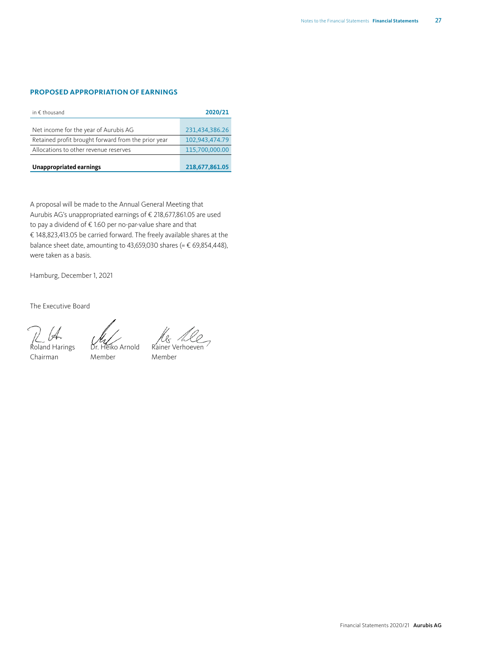#### **PROPOSED APPROPRIATION OF EARNINGS**

| in $\epsilon$ thousand                              | 2020/21        |
|-----------------------------------------------------|----------------|
|                                                     |                |
| Net income for the year of Aurubis AG               | 231,434,386.26 |
| Retained profit brought forward from the prior year | 102,943,474.79 |
| Allocations to other revenue reserves               | 115,700,000.00 |
| Unappropriated earnings                             | 218,677,861.05 |

A proposal will be made to the Annual General Meeting that Aurubis AG's unappropriated earnings of € 218,677,861.05 are used to pay a dividend of € 1.60 per no-par-value share and that € 148,823,413.05 be carried forward. The freely available shares at the balance sheet date, amounting to 43,659,030 shares (=  $\epsilon$  69,854,448), were taken as a basis.

Hamburg, December 1, 2021

The Executive Board

Roland Harings Dr. Heiko Arnold Rainer Verhoeven

Chairman Member Member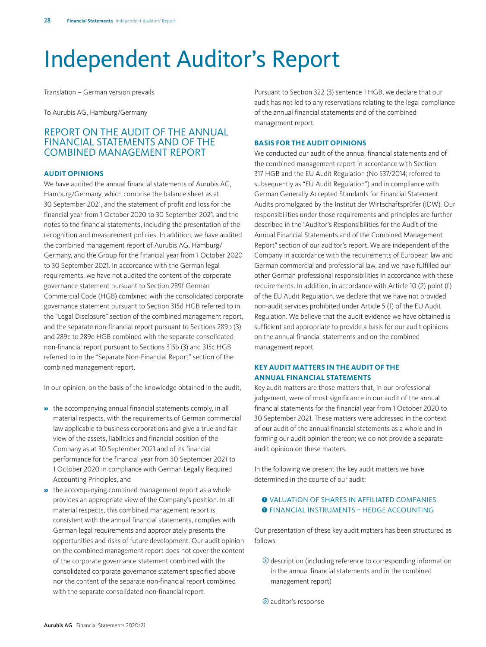### <span id="page-27-0"></span>Independent Auditor's Report

Translation – German version prevails

To Aurubis AG, Hamburg/Germany

#### REPORT ON THE AUDIT OF THE ANNUAL FINANCIAL STATEMENTS AND OF THE COMBINED MANAGEMENT REPORT

#### **AUDIT OPINIONS**

We have audited the annual financial statements of Aurubis AG, Hamburg/Germany, which comprise the balance sheet as at 30 September 2021, and the statement of profit and loss for the financial year from 1 October 2020 to 30 September 2021, and the notes to the financial statements, including the presentation of the recognition and measurement policies. In addition, we have audited the combined management report of Aurubis AG, Hamburg/ Germany, and the Group for the financial year from 1 October 2020 to 30 September 2021. In accordance with the German legal requirements, we have not audited the content of the corporate governance statement pursuant to Section 289f German Commercial Code (HGB) combined with the consolidated corporate governance statement pursuant to Section 315d HGB referred to in the "Legal Disclosure" section of the combined management report, and the separate non-financial report pursuant to Sections 289b (3) and 289c to 289e HGB combined with the separate consolidated non-financial report pursuant to Sections 315b (3) and 315c HGB referred to in the "Separate Non-Financial Report" section of the combined management report.

In our opinion, on the basis of the knowledge obtained in the audit,

- » the accompanying annual financial statements comply, in all material respects, with the requirements of German commercial law applicable to business corporations and give a true and fair view of the assets, liabilities and financial position of the Company as at 30 September 2021 and of its financial performance for the financial year from 30 September 2021 to 1 October 2020 in compliance with German Legally Required Accounting Principles, and
- » the accompanying combined management report as a whole provides an appropriate view of the Company's position. In all material respects, this combined management report is consistent with the annual financial statements, complies with German legal requirements and appropriately presents the opportunities and risks of future development. Our audit opinion on the combined management report does not cover the content of the corporate governance statement combined with the consolidated corporate governance statement specified above nor the content of the separate non-financial report combined with the separate consolidated non-financial report.

Pursuant to Section 322 (3) sentence 1 HGB, we declare that our audit has not led to any reservations relating to the legal compliance of the annual financial statements and of the combined management report.

#### **BASIS FOR THE AUDIT OPINIONS**

We conducted our audit of the annual financial statements and of the combined management report in accordance with Section 317 HGB and the EU Audit Regulation (No 537/2014; referred to subsequently as "EU Audit Regulation") and in compliance with German Generally Accepted Standards for Financial Statement Audits promulgated by the Institut der Wirtschaftsprüfer (IDW). Our responsibilities under those requirements and principles are further described in the "Auditor's Responsibilities for the Audit of the Annual Financial Statements and of the Combined Management Report" section of our auditor's report. We are independent of the Company in accordance with the requirements of European law and German commercial and professional law, and we have fulfilled our other German professional responsibilities in accordance with these requirements. In addition, in accordance with Article 10 (2) point (f) of the EU Audit Regulation, we declare that we have not provided non-audit services prohibited under Article 5 (1) of the EU Audit Regulation. We believe that the audit evidence we have obtained is sufficient and appropriate to provide a basis for our audit opinions on the annual financial statements and on the combined management report.

#### **KEY AUDIT MATTERS IN THE AUDIT OF THE ANNUAL FINANCIAL STATEMENTS**

Key audit matters are those matters that, in our professional judgement, were of most significance in our audit of the annual financial statements for the financial year from 1 October 2020 to 30 September 2021. These matters were addressed in the context of our audit of the annual financial statements as a whole and in forming our audit opinion thereon; we do not provide a separate audit opinion on these matters.

In the following we present the key audit matters we have determined in the course of our audit:

#### $\bullet$  VALUATION OF SHARES IN AFFILIATED COMPANIES **<sup>2</sup>** FINANCIAL INSTRUMENTS - HEDGE ACCOUNTING

Our presentation of these key audit matters has been structured as follows:

- <sup>a</sup> description (including reference to corresponding information in the annual financial statements and in the combined management report)
- b auditor's response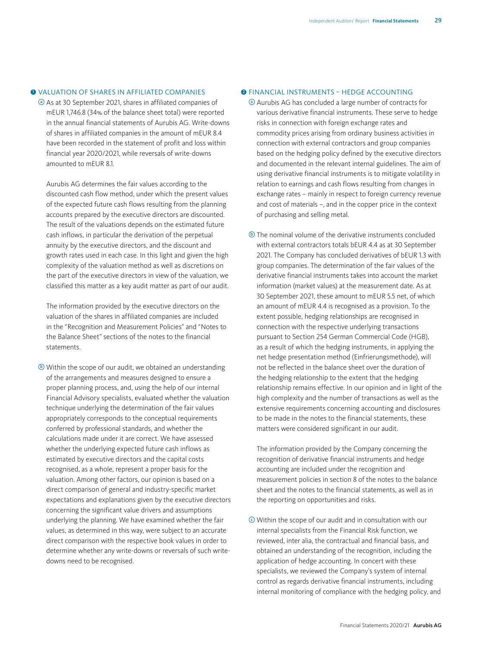#### $\bullet$  VALUATION OF SHARES IN AFFILIATED COMPANIES

<sup>a</sup> As at 30 September 2021, shares in affiliated companies of mEUR 1,746.8 (34% of the balance sheet total) were reported in the annual financial statements of Aurubis AG. Write-downs of shares in affiliated companies in the amount of mEUR 8.4 have been recorded in the statement of profit and loss within financial year 2020/2021, while reversals of write-downs amounted to mEUR 8.1.

Aurubis AG determines the fair values according to the discounted cash flow method, under which the present values of the expected future cash flows resulting from the planning accounts prepared by the executive directors are discounted. The result of the valuations depends on the estimated future cash inflows, in particular the derivation of the perpetual annuity by the executive directors, and the discount and growth rates used in each case. In this light and given the high complexity of the valuation method as well as discretions on the part of the executive directors in view of the valuation, we classified this matter as a key audit matter as part of our audit.

The information provided by the executive directors on the valuation of the shares in affiliated companies are included in the "Recognition and Measurement Policies" and "Notes to the Balance Sheet" sections of the notes to the financial statements.

 $\odot$  Within the scope of our audit, we obtained an understanding of the arrangements and measures designed to ensure a proper planning process, and, using the help of our internal Financial Advisory specialists, evaluated whether the valuation technique underlying the determination of the fair values appropriately corresponds to the conceptual requirements conferred by professional standards, and whether the calculations made under it are correct. We have assessed whether the underlying expected future cash inflows as estimated by executive directors and the capital costs recognised, as a whole, represent a proper basis for the valuation. Among other factors, our opinion is based on a direct comparison of general and industry-specific market expectations and explanations given by the executive directors concerning the significant value drivers and assumptions underlying the planning. We have examined whether the fair values, as determined in this way, were subject to an accurate direct comparison with the respective book values in order to determine whether any write-downs or reversals of such writedowns need to be recognised.

#### **2 FINANCIAL INSTRUMENTS - HEDGE ACCOUNTING**

<sup>a</sup> Aurubis AG has concluded a large number of contracts for various derivative financial instruments. These serve to hedge risks in connection with foreign exchange rates and commodity prices arising from ordinary business activities in connection with external contractors and group companies based on the hedging policy defined by the executive directors and documented in the relevant internal guidelines. The aim of using derivative financial instruments is to mitigate volatility in relation to earnings and cash flows resulting from changes in exchange rates – mainly in respect to foreign currency revenue and cost of materials –, and in the copper price in the context of purchasing and selling metal.

 $\odot$  The nominal volume of the derivative instruments concluded with external contractors totals bEUR 4.4 as at 30 September 2021. The Company has concluded derivatives of bEUR 1.3 with group companies. The determination of the fair values of the derivative financial instruments takes into account the market information (market values) at the measurement date. As at 30 September 2021, these amount to mEUR 5.5 net, of which an amount of mEUR 4.4 is recognised as a provision. To the extent possible, hedging relationships are recognised in connection with the respective underlying transactions pursuant to Section 254 German Commercial Code (HGB), as a result of which the hedging instruments, in applying the net hedge presentation method (Einfrierungsmethode), will not be reflected in the balance sheet over the duration of the hedging relationship to the extent that the hedging relationship remains effective. In our opinion and in light of the high complexity and the number of transactions as well as the extensive requirements concerning accounting and disclosures to be made in the notes to the financial statements, these matters were considered significant in our audit.

The information provided by the Company concerning the recognition of derivative financial instruments and hedge accounting are included under the recognition and measurement policies in section 8 of the notes to the balance sheet and the notes to the financial statements, as well as in the reporting on opportunities and risks.

 $\odot$  Within the scope of our audit and in consultation with our internal specialists from the Financial Risk function, we reviewed, inter alia, the contractual and financial basis, and obtained an understanding of the recognition, including the application of hedge accounting. In concert with these specialists, we reviewed the Company's system of internal control as regards derivative financial instruments, including internal monitoring of compliance with the hedging policy, and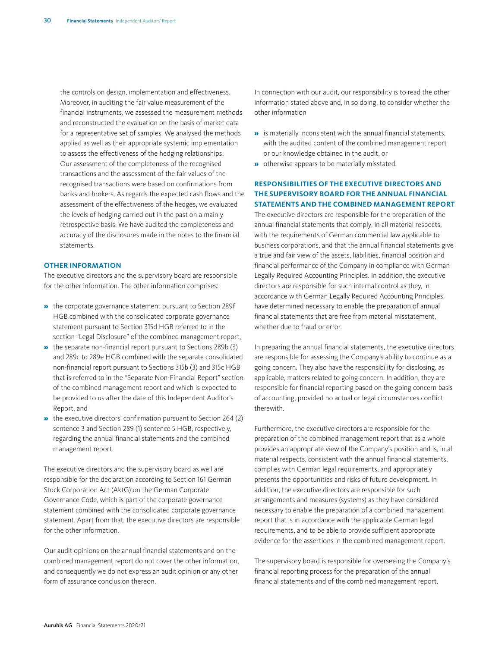the controls on design, implementation and effectiveness. Moreover, in auditing the fair value measurement of the financial instruments, we assessed the measurement methods and reconstructed the evaluation on the basis of market data for a representative set of samples. We analysed the methods applied as well as their appropriate systemic implementation to assess the effectiveness of the hedging relationships. Our assessment of the completeness of the recognised transactions and the assessment of the fair values of the recognised transactions were based on confirmations from banks and brokers. As regards the expected cash flows and the assessment of the effectiveness of the hedges, we evaluated the levels of hedging carried out in the past on a mainly retrospective basis. We have audited the completeness and accuracy of the disclosures made in the notes to the financial statements.

#### **OTHER INFORMATION**

The executive directors and the supervisory board are responsible for the other information. The other information comprises:

- » the corporate governance statement pursuant to Section 289f HGB combined with the consolidated corporate governance statement pursuant to Section 315d HGB referred to in the section "Legal Disclosure" of the combined management report,
- » the separate non-financial report pursuant to Sections 289b (3) and 289c to 289e HGB combined with the separate consolidated non-financial report pursuant to Sections 315b (3) and 315c HGB that is referred to in the "Separate Non-Financial Report" section of the combined management report and which is expected to be provided to us after the date of this Independent Auditor's Report, and
- » the executive directors' confirmation pursuant to Section 264 (2) sentence 3 and Section 289 (1) sentence 5 HGB, respectively, regarding the annual financial statements and the combined management report.

The executive directors and the supervisory board as well are responsible for the declaration according to Section 161 German Stock Corporation Act (AktG) on the German Corporate Governance Code, which is part of the corporate governance statement combined with the consolidated corporate governance statement. Apart from that, the executive directors are responsible for the other information.

Our audit opinions on the annual financial statements and on the combined management report do not cover the other information, and consequently we do not express an audit opinion or any other form of assurance conclusion thereon.

In connection with our audit, our responsibility is to read the other information stated above and, in so doing, to consider whether the other information

- » is materially inconsistent with the annual financial statements, with the audited content of the combined management report or our knowledge obtained in the audit, or
- **»** otherwise appears to be materially misstated.

#### **RESPONSIBILITIES OF THE EXECUTIVE DIRECTORS AND THE SUPERVISORY BOARD FOR THE ANNUAL FINANCIAL STATEMENTS AND THE COMBINED MANAGEMENT REPORT**

The executive directors are responsible for the preparation of the annual financial statements that comply, in all material respects, with the requirements of German commercial law applicable to business corporations, and that the annual financial statements give a true and fair view of the assets, liabilities, financial position and financial performance of the Company in compliance with German Legally Required Accounting Principles. In addition, the executive directors are responsible for such internal control as they, in accordance with German Legally Required Accounting Principles, have determined necessary to enable the preparation of annual financial statements that are free from material misstatement, whether due to fraud or error.

In preparing the annual financial statements, the executive directors are responsible for assessing the Company's ability to continue as a going concern. They also have the responsibility for disclosing, as applicable, matters related to going concern. In addition, they are responsible for financial reporting based on the going concern basis of accounting, provided no actual or legal circumstances conflict therewith.

Furthermore, the executive directors are responsible for the preparation of the combined management report that as a whole provides an appropriate view of the Company's position and is, in all material respects, consistent with the annual financial statements, complies with German legal requirements, and appropriately presents the opportunities and risks of future development. In addition, the executive directors are responsible for such arrangements and measures (systems) as they have considered necessary to enable the preparation of a combined management report that is in accordance with the applicable German legal requirements, and to be able to provide sufficient appropriate evidence for the assertions in the combined management report.

The supervisory board is responsible for overseeing the Company's financial reporting process for the preparation of the annual financial statements and of the combined management report.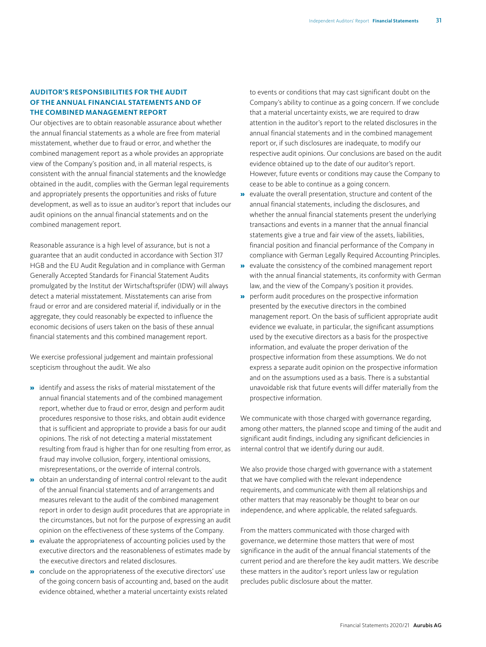#### **AUDITOR'S RESPONSIBILITIES FOR THE AUDIT OF THE ANNUAL FINANCIAL STATEMENTS AND OF THE COMBINED MANAGEMENT REPORT**

Our objectives are to obtain reasonable assurance about whether the annual financial statements as a whole are free from material misstatement, whether due to fraud or error, and whether the combined management report as a whole provides an appropriate view of the Company's position and, in all material respects, is consistent with the annual financial statements and the knowledge obtained in the audit, complies with the German legal requirements and appropriately presents the opportunities and risks of future development, as well as to issue an auditor's report that includes our audit opinions on the annual financial statements and on the combined management report.

Reasonable assurance is a high level of assurance, but is not a guarantee that an audit conducted in accordance with Section 317 HGB and the EU Audit Regulation and in compliance with German Generally Accepted Standards for Financial Statement Audits promulgated by the Institut der Wirtschaftsprüfer (IDW) will always detect a material misstatement. Misstatements can arise from fraud or error and are considered material if, individually or in the aggregate, they could reasonably be expected to influence the economic decisions of users taken on the basis of these annual financial statements and this combined management report.

We exercise professional judgement and maintain professional scepticism throughout the audit. We also

- » identify and assess the risks of material misstatement of the annual financial statements and of the combined management report, whether due to fraud or error, design and perform audit procedures responsive to those risks, and obtain audit evidence that is sufficient and appropriate to provide a basis for our audit opinions. The risk of not detecting a material misstatement resulting from fraud is higher than for one resulting from error, as fraud may involve collusion, forgery, intentional omissions, misrepresentations, or the override of internal controls.
- » obtain an understanding of internal control relevant to the audit of the annual financial statements and of arrangements and measures relevant to the audit of the combined management report in order to design audit procedures that are appropriate in the circumstances, but not for the purpose of expressing an audit opinion on the effectiveness of these systems of the Company.
- » evaluate the appropriateness of accounting policies used by the executive directors and the reasonableness of estimates made by the executive directors and related disclosures.
- » conclude on the appropriateness of the executive directors' use of the going concern basis of accounting and, based on the audit evidence obtained, whether a material uncertainty exists related

to events or conditions that may cast significant doubt on the Company's ability to continue as a going concern. If we conclude that a material uncertainty exists, we are required to draw attention in the auditor's report to the related disclosures in the annual financial statements and in the combined management report or, if such disclosures are inadequate, to modify our respective audit opinions. Our conclusions are based on the audit evidence obtained up to the date of our auditor's report. However, future events or conditions may cause the Company to cease to be able to continue as a going concern.

- » evaluate the overall presentation, structure and content of the annual financial statements, including the disclosures, and whether the annual financial statements present the underlying transactions and events in a manner that the annual financial statements give a true and fair view of the assets, liabilities, financial position and financial performance of the Company in compliance with German Legally Required Accounting Principles.
- » evaluate the consistency of the combined management report with the annual financial statements, its conformity with German law, and the view of the Company's position it provides.
- » perform audit procedures on the prospective information presented by the executive directors in the combined management report. On the basis of sufficient appropriate audit evidence we evaluate, in particular, the significant assumptions used by the executive directors as a basis for the prospective information, and evaluate the proper derivation of the prospective information from these assumptions. We do not express a separate audit opinion on the prospective information and on the assumptions used as a basis. There is a substantial unavoidable risk that future events will differ materially from the prospective information.

We communicate with those charged with governance regarding, among other matters, the planned scope and timing of the audit and significant audit findings, including any significant deficiencies in internal control that we identify during our audit.

We also provide those charged with governance with a statement that we have complied with the relevant independence requirements, and communicate with them all relationships and other matters that may reasonably be thought to bear on our independence, and where applicable, the related safeguards.

From the matters communicated with those charged with governance, we determine those matters that were of most significance in the audit of the annual financial statements of the current period and are therefore the key audit matters. We describe these matters in the auditor's report unless law or regulation precludes public disclosure about the matter.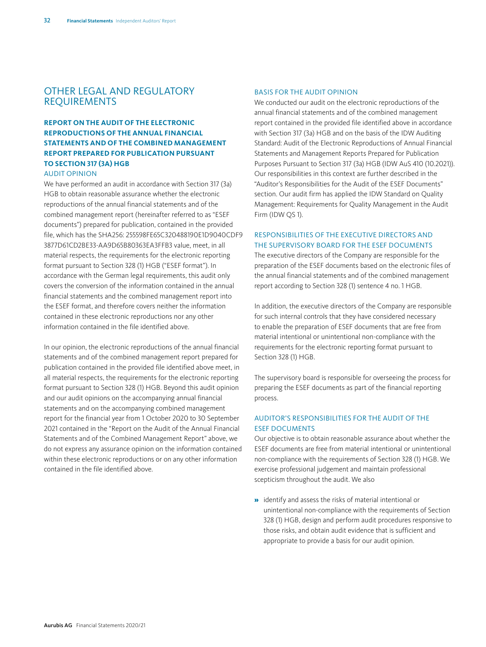#### OTHER LEGAL AND REGULATORY REQUIREMENTS

#### **REPORT ON THE AUDIT OF THE ELECTRONIC REPRODUCTIONS OF THE ANNUAL FINANCIAL STATEMENTS AND OF THE COMBINED MANAGEMENT REPORT PREPARED FOR PUBLICATION PURSUANT TO SECTION 317 (3A) HGB**

#### AUDIT OPINION

We have performed an audit in accordance with Section 317 (3a) HGB to obtain reasonable assurance whether the electronic reproductions of the annual financial statements and of the combined management report (hereinafter referred to as "ESEF documents") prepared for publication, contained in the provided file, which has the SHA256: 255598FE65C320488190E1D9040CDF9 3877D61CD2BE33-AA9D65B80363EA3FFB3 value, meet, in all material respects, the requirements for the electronic reporting format pursuant to Section 328 (1) HGB ("ESEF format"). In accordance with the German legal requirements, this audit only covers the conversion of the information contained in the annual financial statements and the combined management report into the ESEF format, and therefore covers neither the information contained in these electronic reproductions nor any other information contained in the file identified above.

In our opinion, the electronic reproductions of the annual financial statements and of the combined management report prepared for publication contained in the provided file identified above meet, in all material respects, the requirements for the electronic reporting format pursuant to Section 328 (1) HGB. Beyond this audit opinion and our audit opinions on the accompanying annual financial statements and on the accompanying combined management report for the financial year from 1 October 2020 to 30 September 2021 contained in the "Report on the Audit of the Annual Financial Statements and of the Combined Management Report" above, we do not express any assurance opinion on the information contained within these electronic reproductions or on any other information contained in the file identified above.

#### BASIS FOR THE AUDIT OPINION

We conducted our audit on the electronic reproductions of the annual financial statements and of the combined management report contained in the provided file identified above in accordance with Section 317 (3a) HGB and on the basis of the IDW Auditing Standard: Audit of the Electronic Reproductions of Annual Financial Statements and Management Reports Prepared for Publication Purposes Pursuant to Section 317 (3a) HGB (IDW AuS 410 (10.2021)). Our responsibilities in this context are further described in the "Auditor's Responsibilities for the Audit of the ESEF Documents" section. Our audit firm has applied the IDW Standard on Quality Management: Requirements for Quality Management in the Audit Firm (IDW QS 1).

#### RESPONSIBILITIES OF THE EXECUTIVE DIRECTORS AND THE SUPERVISORY BOARD FOR THE ESEF DOCUMENTS

The executive directors of the Company are responsible for the preparation of the ESEF documents based on the electronic files of the annual financial statements and of the combined management report according to Section 328 (1) sentence 4 no. 1 HGB.

In addition, the executive directors of the Company are responsible for such internal controls that they have considered necessary to enable the preparation of ESEF documents that are free from material intentional or unintentional non-compliance with the requirements for the electronic reporting format pursuant to Section 328 (1) HGB.

The supervisory board is responsible for overseeing the process for preparing the ESEF documents as part of the financial reporting process.

#### AUDITOR'S RESPONSIBILITIES FOR THE AUDIT OF THE ESEF DOCUMENTS

Our objective is to obtain reasonable assurance about whether the ESEF documents are free from material intentional or unintentional non-compliance with the requirements of Section 328 (1) HGB. We exercise professional judgement and maintain professional scepticism throughout the audit. We also

» identify and assess the risks of material intentional or unintentional non-compliance with the requirements of Section 328 (1) HGB, design and perform audit procedures responsive to those risks, and obtain audit evidence that is sufficient and appropriate to provide a basis for our audit opinion.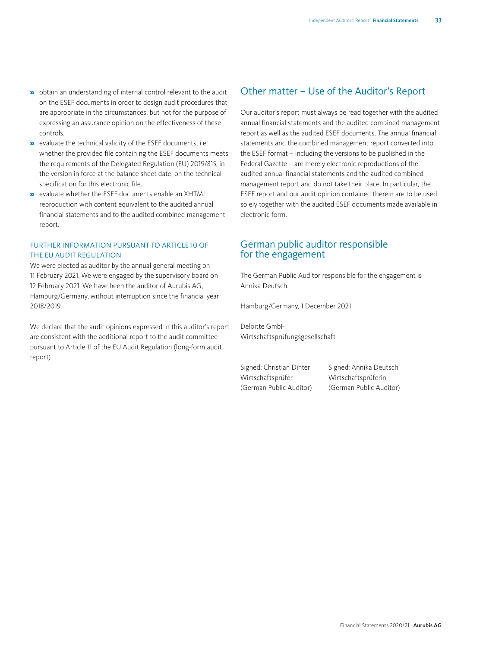- » obtain an understanding of internal control relevant to the audit on the ESEF documents in order to design audit procedures that are appropriate in the circumstances, but not for the purpose of expressing an assurance opinion on the effectiveness of these controls.
- » evaluate the technical validity of the ESEF documents, i.e. whether the provided file containing the ESEF documents meets the requirements of the Delegated Regulation (EU) 2019/815, in the version in force at the balance sheet date, on the technical specification for this electronic file.
- » evaluate whether the ESEF documents enable an XHTML reproduction with content equivalent to the audited annual financial statements and to the audited combined management report.

#### FURTHER INFORMATION PURSUANT TO ARTICLE 10 OF THE EU AUDIT REGULATION

We were elected as auditor by the annual general meeting on 11 February 2021. We were engaged by the supervisory board on 12 February 2021. We have been the auditor of Aurubis AG, Hamburg/Germany, without interruption since the financial year 2018/2019.

We declare that the audit opinions expressed in this auditor's report are consistent with the additional report to the audit committee pursuant to Article 11 of the EU Audit Regulation (long-form audit report).

#### Other matter – Use of the Auditor's Report

Our auditor's report must always be read together with the audited annual financial statements and the audited combined management report as well as the audited ESEF documents. The annual financial statements and the combined management report converted into the ESEF format – including the versions to be published in the Federal Gazette – are merely electronic reproductions of the audited annual financial statements and the audited combined management report and do not take their place. In particular, the ESEF report and our audit opinion contained therein are to be used solely together with the audited ESEF documents made available in electronic form.

#### German public auditor responsible for the engagement

The German Public Auditor responsible for the engagement is Annika Deutsch.

Hamburg/Germany, 1 December 2021

Deloitte GmbH Wirtschaftsprüfungsgesellschaft

Wirtschaftsprüfer Wirtschaftsprüferin (German Public Auditor) (German Public Auditor)

Signed: Christian Dinter Signed: Annika Deutsch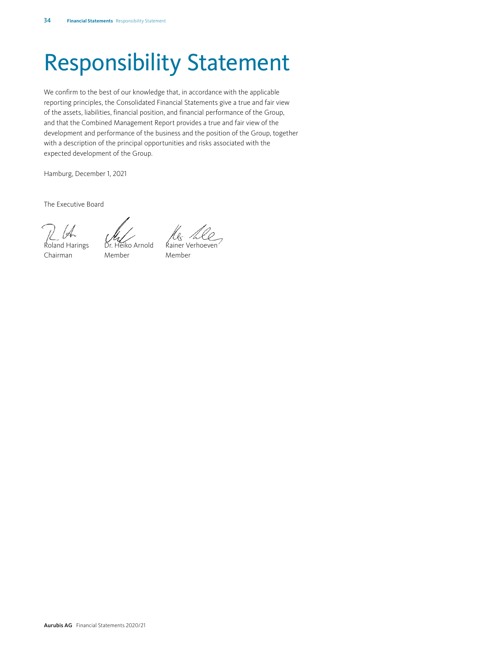## <span id="page-33-0"></span>Responsibility Statement

We confirm to the best of our knowledge that, in accordance with the applicable reporting principles, the Consolidated Financial Statements give a true and fair view of the assets, liabilities, financial position, and financial performance of the Group, and that the Combined Management Report provides a true and fair view of the development and performance of the business and the position of the Group, together with a description of the principal opportunities and risks associated with the expected development of the Group.

Hamburg, December 1, 2021

The Executive Board

Roland Harings Dr. Heiko Arnold Rainer Verhoeven

Chairman Member Member